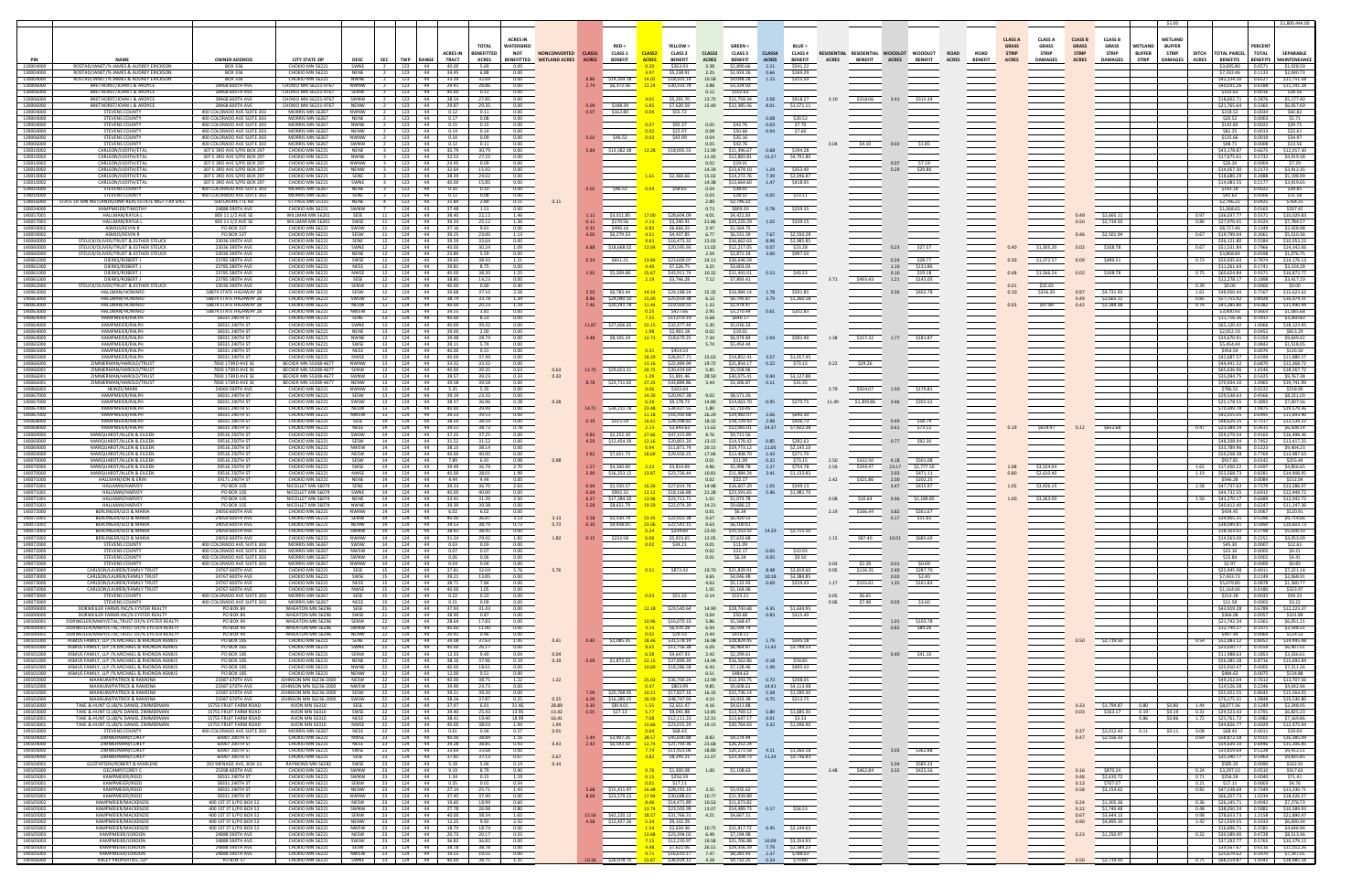|                        |                                                                                              |                                                          |                                                     |                            |                                  |                                                                                                                         |                                             |                        |                                           |                               |                                                                                 |                                                                |                           |                              |              |                                                                   |                                  |                                                              |                                |                                |                                |                                |                               |                                                         |                                        |                                                                 | \$1,800,444.00                      |
|------------------------|----------------------------------------------------------------------------------------------|----------------------------------------------------------|-----------------------------------------------------|----------------------------|----------------------------------|-------------------------------------------------------------------------------------------------------------------------|---------------------------------------------|------------------------|-------------------------------------------|-------------------------------|---------------------------------------------------------------------------------|----------------------------------------------------------------|---------------------------|------------------------------|--------------|-------------------------------------------------------------------|----------------------------------|--------------------------------------------------------------|--------------------------------|--------------------------------|--------------------------------|--------------------------------|-------------------------------|---------------------------------------------------------|----------------------------------------|-----------------------------------------------------------------|-------------------------------------|
|                        |                                                                                              |                                                          |                                                     |                            |                                  | <b>ACRES IN</b>                                                                                                         |                                             |                        |                                           |                               |                                                                                 |                                                                |                           |                              |              |                                                                   |                                  |                                                              |                                |                                |                                |                                |                               |                                                         |                                        |                                                                 |                                     |
|                        |                                                                                              |                                                          |                                                     |                            |                                  | <b>TOTAL</b><br><b>WATERSHE</b>                                                                                         |                                             |                        |                                           |                               | YELLOW:                                                                         | <b>GREEN =</b>                                                 |                           | <b>BLUE =</b>                |              |                                                                   |                                  |                                                              | <b>CLASS A</b><br><b>GRASS</b> | <b>CLASS A</b><br><b>GRASS</b> | <b>CLASS B</b><br><b>GRASS</b> | <b>CLASS B</b><br><b>GRASS</b> | WETLAND                       | <b>WETLAND</b><br><b>BUFFER</b>                         |                                        | <b>PERCENT</b>                                                  |                                     |
| PIN                    | <b>NAME</b>                                                                                  | <b>OWNER ADDRESS</b>                                     | <b>CITY STATE ZIP</b>                               | <b>DESC</b><br><b>SEC</b>  | <b>TWP</b>                       | <b>BENEFITTED</b><br><b>ACRES IN</b><br><b>NOT</b><br><b>TRACT</b><br><b>BENEFITTED</b><br><b>RANGE</b><br><b>ACRES</b> | <b>NONCONVERTED</b><br><b>WETLAND ACRES</b> | CLASS1<br><b>ACRES</b> | <b>CLASS 1</b><br><b>BENEFIT</b>          | <b>CLASS:</b><br><b>ACRES</b> | <b>CLASS 2</b><br><b>BENEFIT</b>                                                | CLASS3<br>CLASS <sub>3</sub><br><b>ACRES</b><br><b>BENEFIT</b> | CLASS4<br><b>ACRES</b>    | CLASS 4<br><b>BENEFIT</b>    | <b>ACRES</b> | RESIDENTIAL RESIDENTIAL WOODLOT<br><b>BENEFIT</b><br><b>ACRES</b> | <b>WOODLOT</b><br><b>BENEFIT</b> | <b>ROAD</b><br><b>ROAD</b><br><b>ACRES</b><br><b>BENEFIT</b> | <b>STRIP</b><br><b>ACRES</b>   | <b>STRIF</b><br><b>DAMAGES</b> | <b>STRIP</b><br><b>ACRES</b>   | <b>STRIP</b><br><b>DAMAGES</b> | <b>BUFFER</b><br><b>STRIP</b> | <b>STRIF</b><br>DITCH<br><b>ACRES</b><br><b>DAMAGES</b> | <b>TOTAL PARCEL</b><br><b>BENEFITS</b> | <b>TOTAL</b><br><b>BENEFITS</b>                                 | SEPARABLE<br><b>MAINTENEANCE</b>    |
| 130004000              | ROSTAD/JANET/% JAMES & AUDREY ERICKSON                                                       | <b>BOX 336</b>                                           | CHOKIO MN 56221                                     | SWNE                       | 123                              | 44<br>40.00<br>5.69<br>0.00                                                                                             |                                             |                        |                                           | 0.20                          | \$263.93                                                                        | 3.38<br>\$2,890.66                                             | 2.11                      | \$541.22                     |              |                                                                   |                                  |                                                              |                                |                                |                                |                                |                               |                                                         | \$3,695.80                             | 0.0571                                                          | \$1,028.59                          |
| 130004000<br>130004000 | ROSTAD/JANET/% JAMES & AUDREY ERICKSON<br>ROSTAD/JANET/% JAMES & AUDREY ERICKSON             | <b>BOX 336</b><br>BOX 336                                | CHOKIO MN 56221<br>CHOKIO MN 56221                  | NENE<br><b>NWNE</b>        | 123<br>123                       | 6.88<br>44<br>34.45<br>0.00<br>-44<br>33.29<br>32.69<br>0.00                                                            |                                             |                        | 6.86 \$14,359.18 14.02                    | 3.97                          | \$5,238.91<br>\$18,501.14                                                       | 2.25<br>\$1,924.26<br>10.58<br>\$9,048.28                      | 0.66<br>1.23              | \$169.29<br>\$315.50         |              |                                                                   |                                  |                                                              |                                |                                |                                |                                |                               |                                                         | \$7,332.46<br>\$42,224.10              | 0.1133<br>0.6527                                                | \$2,040.73<br>\$11,751.58           |
| 130006000<br>130006000 | BRETHORST/JOHN L & ARDYCE<br>BRETHORST/JOHN L & ARDYC                                        | 28468 600TH AVE<br>28468 600TH AVE                       | CHOKIO MN 56221-976<br>CHOKIO MN 56221-9767         | <b>NWNW</b>                | 123                              | 44<br>29.41<br>28.86<br>0.00<br>44<br>40.00<br>0.00                                                                     |                                             | 2.74                   | \$6,372.56                                | 22.24                         | \$30,333.78                                                                     | 3.88<br>\$3,324.92<br>0.12<br>\$102.63                         |                           |                              |              |                                                                   |                                  |                                                              |                                |                                |                                |                                |                               |                                                         | \$40,031.26                            | 0.6188<br>0.0016                                                | \$11,141.28<br>\$28.56              |
| 130006000              | BRETHORST/JOHN L & ARDYO                                                                     | 28468 600TH AVE                                          | HOKIO MN 56221-9767                                 |                            | 123                              | 44<br>38.54<br>27.85<br>0.00                                                                                            |                                             |                        |                                           |                               | \$5,291.70                                                                      | 13.75                                                          | \$11,759.34 3.58          | \$918.27                     |              | \$318.06                                                          |                                  |                                                              |                                |                                |                                |                                |                               |                                                         | \$18,602.71                            | 0.2876                                                          | \$5.177.40                          |
| 130006000<br>39004000  | BRETHORST/JOHN L & ARDYC<br><b>STEVENS COUNTY</b>                                            | 28468 600TH AVE<br>400 COLORADO AVE SUITE 303            | HOKIO MN 56221-9767<br>MORRIS MN 56267              | NWNW                       | 123<br>123                       | 44<br>29.87<br>29.35<br>0.00<br>44<br>0.12<br>0.11<br>0.00                                                              |                                             |                        | \$188.39<br>0.07 \$162.80                 | 5.85<br>0.04                  | \$7.620.59<br>\$55.72                                                           | 15.40<br>\$12,385.56                                           | 8.01                      | \$1,571.11                   |              |                                                                   |                                  |                                                              |                                |                                |                                |                                |                               |                                                         | \$21,765.64<br>\$218.52                | 0.3365<br>0.0034                                                | \$6,057.69<br>\$60.82               |
| 139004000<br>39004000  | <b>STEVENS COUNT</b><br><b>STEVENS COUNTY</b>                                                | 400 COLORADO AVE SUITE 303<br>400 COLORADO AVE SUITE 303 | MORRIS MN 56267<br>MORRIS MN 56267                  | <b>NFNF</b>                | 2   123   44                     | 0.08<br>0.00<br>0.17                                                                                                    |                                             |                        |                                           |                               |                                                                                 |                                                                | 0.08<br>0.03              | \$20.52                      |              |                                                                   |                                  |                                                              |                                |                                |                                |                                |                               |                                                         | \$20.52                                | 0.0003<br>0.0022                                                | \$5.71                              |
| 139004000              | STEVENS COUNTY                                                                               | 400 COLORADO AVE SUITE 303                               | MORRIS MN 56267                                     | <b>NWNF</b><br>NENW        | 2 123<br>123                     | 0.15<br>44<br>0.15<br>0.00<br>0.14<br>0.14<br>0.00<br>44                                                                |                                             |                        |                                           | 0.07<br>0.02                  | \$92.37<br>\$22.97                                                              | 0.05<br>\$42.76<br>0.08<br>\$50.68                             | 0.04                      | \$7.70<br>\$7.60             |              |                                                                   |                                  |                                                              |                                |                                |                                |                                |                               |                                                         | \$142.83<br>\$81.25                    | 0.0013                                                          | \$39.75<br>\$22.61                  |
| 139006000<br>139006000 | <b>STEVENS COUNTY</b><br><b>STEVENS COUNTY</b>                                               | 400 COLORADO AVE SUITE 303<br>400 COLORADO AVE SUITE 303 | MORRIS MN 56267<br>MORRIS MN 56267                  | NWNW<br>SWNW               | 123<br>123                       | 0.09<br>0.10<br>0.00<br>-44<br>44<br>0.12<br>0.11<br>0.00                                                               |                                             |                        | $0.02$ \$46.52                            | 0.03                          | \$43.99                                                                         | 0.04<br>\$35.16<br>0.05<br>\$42.76                             |                           |                              |              | \$4.10<br>0.02                                                    | \$1.85                           |                                                              |                                |                                |                                |                                |                               |                                                         | \$125.66<br>\$48.71                    | 0.0019<br>0.0008                                                | \$34.97<br>\$13.56                  |
| 130010002              | CARLSON/JUDITH/ETAL                                                                          | 307 E 3RD AVE S/PO BOX 297                               | CHOKIO MN 56221                                     | <b>NENE</b>                | 123                              | 30.79<br>0.00<br>44<br>30.79                                                                                            |                                             | 5.84                   | \$13,582.38                               | 12.28                         | \$18,005.55                                                                     | 11.99<br>\$11,396.67                                           | 0.68                      | \$194.28                     |              |                                                                   |                                  |                                                              |                                |                                |                                |                                |                               |                                                         | S43.178.87                             | 0.6675                                                          | \$12,017.30                         |
| 130010002<br>130010002 | CARLSON/JUDITH/ETAL<br>CARLSON/JUDITH/ETAL                                                   | 307 E 3RD AVE S/PO BOX 297<br>307 E 3RD AVE S/PO BOX 297 | CHOKIO MN 56221<br>CHOKIO MN 56221                  | NWNE<br><b>NWNW</b>        | 123<br>123                       | 27.22<br>0.00<br>44<br>32.52<br>-44<br>24.95<br>0.09<br>0.00                                                            |                                             |                        |                                           |                               |                                                                                 | \$12,883.81<br>11.95<br>\$19.01<br>0.02                        | 15.27                     | \$4,791.80                   |              | 0.07                                                              | \$7.19                           |                                                              |                                |                                |                                |                                |                               |                                                         | \$17,675.61<br>\$26.20                 | 0.2732<br>0.0004                                                | \$4,919.38<br>\$7.29                |
| 130010002<br>130010002 | CARLSON/JUDITH/ETAL<br>CARLSON/JUDITH/ETAL                                                   | 307 E 3RD AVE S/PO BOX 297<br>307 F 3RD AVE S/PO BOX 297 | CHOKIO MN 56221<br>CHOKIO MN 56221                  | <b>NENW</b><br>SENE        | 123<br>123                       | 44<br>32.64<br>15.92<br>0.00<br>-44<br>38.39<br>24.02<br>0.00                                                           |                                             |                        |                                           |                               | \$2,360.66                                                                      | 14.39<br>\$13,674.10<br>15.02<br>\$14,272.76                   | 1.24<br>7.39              | \$353.40<br>\$2,046.87       |              | 0.29                                                              | \$29.80                          |                                                              |                                |                                |                                |                                |                               |                                                         | \$14,057.30<br>\$18.680.29             | 0.2173<br>0.2888                                                | \$3,912.35<br>\$5.198.99            |
| 130010002              | CARLSON/JUDITH/ETAL                                                                          | 307 E 3RD AVE S/PO BOX 297                               | CHOKIO MN 5622:                                     |                            | 123                              | 44<br>15.85<br>0.00<br>40.00                                                                                            |                                             |                        |                                           |                               |                                                                                 | 14.38<br>\$13,664.60                                           | 1.47                      | \$418.95                     |              |                                                                   |                                  |                                                              |                                |                                |                                |                                |                               |                                                         | \$14.083.55                            | 0.2177                                                          | \$3,919.65                          |
| 139010000<br>139010000 | <b>STEVENS COUNTY</b><br><b>STEVENS COUNTY</b>                                               | 400 COLORADO AVE SUITE 303<br>400 COLORADO AVE SUITE 303 | MORRIS MN 56267<br>MORRIS MN 56267                  |                            | 123<br>123                       | 0.10<br>0.00<br>44<br>0.10<br>44<br>0.08<br>0.12<br>0.00                                                                |                                             |                        | $0.02$ \$46.52                            |                               | \$58.65                                                                         | 0.04<br>\$38.01<br>0.03<br>\$28.51                             | 0.05                      | \$13.11                      |              |                                                                   |                                  |                                                              |                                |                                |                                |                                |                               |                                                         | \$143.18<br>\$41.62                    | 0.0022<br>0.0006                                                | \$39.85<br>\$11.58                  |
| 139016000<br>100034000 | STATE OF MN WETLANDS/DNR-REAL ESTATE MGT-TAX SPEC<br>KAMPMEIFR/TIMOTHY                       | 500 LAEAYETTE RD<br>24888 590TH AVE                      | ST PAUL MN 55115<br>CHOKIO MN 56221                 | <b>NFNF</b><br><b>SWNW</b> | 123<br>$-4$<br>124               | 44<br>31.84<br>2.89<br>0.11<br>37.48<br>1.51<br>0.00<br>43                                                              |                                             |                        |                                           |                               |                                                                                 | 2.89<br>\$2,746.22<br>0.73<br>\$809.30                         | 0.78                      | \$259.35                     |              |                                                                   |                                  |                                                              |                                |                                |                                |                                |                               |                                                         | \$2.746.22<br>\$1,068.65               | 0.0425<br>0.0165                                                | \$764.31<br>\$297.42                |
| 140057001              | HALLMAN/KAYLA L                                                                              | 805 11 1/2 AVE SE                                        | WILLMAR MN 56201                                    | SESE                       | 124                              | 44<br>38.40<br>22.12<br>1.46                                                                                            |                                             |                        | 1.11 \$3.011.85                           | 17.00                         | \$28,604.09                                                                     | 4.01<br>\$4,421.83                                             |                           |                              |              |                                                                   |                                  |                                                              |                                |                                | 0.49                           | \$2,665.11                     |                               |                                                         | \$36,037.77                            | 0.5571                                                          | \$10,029.83                         |
| 140057001<br>14005900  | HALLMAN/KAYLA L<br>ASMUS/KEVIN R                                                             | 805 11 1/2 AVE SI<br>PO BOX 337                          | WILLMAR MN 56201<br>CHOKIO MN 56221                 | SWSE<br>SWSW               | 124<br>124                       | 44<br>39.33<br>25.12<br>1.36<br>44<br>37.16<br>9.61<br>0.00                                                             |                                             | 0.11<br>0.32           | \$170.56<br>\$496.16                      | 2.13<br>6.82                  | \$3,240.41<br>\$6,666.55                                                        | 21.86<br>\$24,220.29<br>2.47<br>\$1,564.75                     | 1.02                      | \$339.15                     |              |                                                                   |                                  |                                                              |                                |                                | 0.50                           | \$2,719.50                     |                               | 0.86                                                    | \$27,970.41<br>\$8,727.46              | 0.4324<br>0.1349                                                | \$7,784.57<br>\$2,428.98            |
| 140059002<br>140060000 | ASMUS/KEVIN R<br>STEUCK/OUVER/TRUST & ESTHER STEUCK                                          | PO BOX 337<br>23036 590TH AVE                            | CHOKIO MN 5622:<br>CHOKIO MN 56221                  | SESW<br>SENF               | 124<br>$12-1$<br>124             | 44<br>39.25<br>23.00<br>1.13<br>33.64<br>0.00<br>44<br>39.59                                                            |                                             | 4.05                   | \$6,279.53                                | 4.51<br>9.63                  | \$4,437.85<br>\$16,473.32                                                       | 6.77<br>\$6,531.39<br>\$16,662.63<br>15.03                     | 7.67<br>8.98              | \$2,550.28<br>\$2,985.85     |              |                                                                   |                                  |                                                              |                                |                                |                                | \$2,501.94                     |                               | 0.67                                                    | \$19,799.04<br>\$36,121.80             | 0.3061<br>0.5584                                                | \$5,510.36<br>\$10,053.22           |
| 140060000              | STEUCK/OUVER/TRUST & ESTHER STEUCK                                                           | 23036 590TH AVE                                          | CHOKIO MN 56221                                     |                            | 124                              | 30.24<br>40.00<br>1.09<br>44                                                                                            |                                             |                        | 6.88 \$18.668.02                          | 12.04                         | \$20,595.93                                                                     | \$12,217.05<br>11.02                                           | 0.07                      | \$23.28                      |              | 0.23                                                              | \$27.57                          |                                                              |                                | \$1,305.20                     | 0.02                           | \$108.78                       |                               | 0.67                                                    | \$51.531.84                            | 0.7966                                                          | \$14,342.06                         |
| 140060000<br>40061000  | STEUCK/OLIVER/TRUST & ESTHER STEUCK<br>DIERKS/ROBERT.                                        | 23036 590TH AVE<br>23785 580TH AVE                       | CHOKIO MN 56221<br>CHOKIO MN 56221                  | <b>NFNF</b><br>SWSE        | 12<br>124<br>12 124              | 5.59<br>23.89<br>0.00<br>44<br>44<br>39.65<br>38.43<br>1.21                                                             |                                             |                        | \$651.21                                  | 13.84                         | \$23,609.07                                                                     | 2.59<br>\$2,871.34<br>24.11<br>\$26,646.59                     | 3.00                      | \$997.50                     |              | 0.24                                                              | \$28.77                          |                                                              |                                | \$1,272.57                     | 0.09                           | \$489.51                       |                               |                                                         | \$3.868.84<br>0.73 \$50.935.64         | 0.0598<br>0.7874                                                | \$1,076.75<br>\$14,176,13           |
| 40061000<br>140061000  | DIERKS/ROBERT<br>DIERKS/ROBERT J                                                             | 23785 580TH AVE<br>23785 580TH AVE                       | <b>CHOKIO MN 5622:</b><br>CHOKIO MN 56221           | NESE<br>NWSE               | 12 124<br>12   124   44          | 44<br>39.81<br>8.75<br>0.00<br>38.20<br>40.00<br>1.25                                                                   |                                             |                        | $1.92$ \$5,209.68 $\blacksquare$          | 4.40<br>25.67                 | \$7,526.75<br>\$43,911.74                                                       | 3.25<br>\$3,603.03<br>10.32                                    | \$11,441.01 0.13          | \$43.23                      |              | 1.10<br>0.16                                                      | \$131.86<br>\$19.18              |                                                              | 0.48                           | \$1,566.24                     | 0.02                           | \$108.78                       |                               | 0.75                                                    | \$11.261.64<br>\$60,624.84  0.9371     | 0.1741                                                          | \$3,134,28<br>\$16,872.77           |
| 140061000              | DIERKS/ROBERT.                                                                               | 23785 580TH AVE                                          | CHOKIO MN 56221                                     | SESE                       | 12 124 44                        | 38.80<br>14.23<br>0.00                                                                                                  |                                             |                        |                                           |                               | \$3,746.28                                                                      | \$7,893.41<br>7.12                                             |                           |                              | 3.71         | 1.21<br>\$493.43                                                  | \$145.05                         |                                                              |                                |                                |                                |                                |                               |                                                         |                                        | \$12,278.17 0.1898                                              | \$3,417.19                          |
| 140062000<br>140063000 | STEUCK/OLIVER/TRUST & ESTHER STEUCK<br>HALLMAN/HOWARD                                        | 23036 590TH AVE<br>58874 STATE HIGHWAY 28                | CHOKIO MN 56221<br>CHOKIO MN 56221                  | SENW<br>SESW               | 124<br>12 l<br>124<br>12         | 44<br>40.00<br>0.00<br>0.40<br>39.68<br>37.10<br>2.58<br>- 44                                                           |                                             |                        | 2.50 \$6.783.44                           | 14.14                         | \$24,188,24                                                                     | 15.32                                                          | \$16.984.14 1.78          | \$591.85                     |              | 3.36                                                              | \$402.78                         |                                                              | 0.01<br>0.10                   | \$32.63<br>\$326.30            | 0.87                           | \$4,731.93                     |                               | 0.39<br>1.61                                            | \$0.00<br>S48.950.44                   | 0.0000<br>0.7567                                                | \$0.00<br>\$13.623.62               |
| 140063000<br>140063000 | HALLMAN/HOWARD<br>HALLMAN/HOWAR                                                              | 58874 STATE HIGHWAY 28<br>8874 STATE HIGHWAY 2           | CHOKIO MN 56221<br><b>CHOKIO MN 5622</b>            | SWSW<br>NESW               | 124                              | 33.78<br>38.74<br>1.34<br>- 44<br>40.00<br>20.23<br>1.19                                                                |                                             | 8.86<br>7.46           | \$24,040.50<br>\$20,241.78                | 15.00<br>11.44                | \$25,659.38<br>\$19,569.5                                                       | 6.13<br>\$6.795.87<br>1.33<br>1.474.47                         | 3.79                      | \$1,260.18                   |              |                                                                   |                                  |                                                              |                                | \$97.89                        | 0.42                           | \$2,665.11<br>\$2,284.38       |                               | 0.85<br>0.74                                            | \$57,755.92<br>41.285.80               | 0.8928<br>0.6382                                                | \$16,074.31<br>1.490.44             |
| 140063000              | HALLMAN/HOWARD                                                                               | 58874 STATE HIGHWAY 2                                    | <b>CHOKIO MN 5622:</b>                              |                            | 124                              | - 44<br>39.55<br>3.81<br>0.00                                                                                           |                                             |                        |                                           |                               | \$427.66                                                                        | \$3,270.44<br>2.95                                             |                           |                              |              |                                                                   |                                  |                                                              |                                |                                |                                |                                |                               |                                                         | \$3,900.93                             | 0.0603                                                          | \$1,085.68                          |
| 140064000<br>140064000 | <b>KAMPMEIER/RAI PH</b><br><b>KAMPMEIFR/RAI PH</b>                                           | 58331 240TH ST<br>58331 240TH ST                         | CHOKIO MN 56221<br><b>HOKIO MN 56221</b>            | SENE                       | 124<br>124                       | 44<br>40.00<br>8.23<br>0.00<br>44<br>40.00<br>39.32<br>0.00                                                             |                                             |                        | 11.87 \$27.606.65                         | 7.55<br>22.15                 | \$11,070.19<br>\$32,477.44                                                      | 0.68<br>\$646.17<br>5.30<br>\$5.036.33                         |                           |                              |              |                                                                   |                                  |                                                              |                                |                                |                                |                                |                               |                                                         | \$11.716.36<br>\$65.120.42             | 0.1811<br>1.0066                                                | \$3,260.83<br>\$18.123.95           |
| 140064000<br>140064000 | KAMPMEIER/RALPH<br><b>KAMPMFIFR/RAI PH</b>                                                   | 58331 240TH ST<br>58331 240TH ST                         | CHOKIO MN 56221<br>HOKIO MN 56221                   | <b>NFNF</b><br><b>NWNF</b> | 13<br>124<br>13 124              | 44<br>39.00<br>2.00<br>0.00<br>44<br>39.48<br>28.74<br>0.00                                                             |                                             |                        | \$8.105.24                                | 1.98<br>12.73                 | \$2,903.18<br>\$18,670.25                                                       | \$19.01<br>0.02<br>7.34<br>\$6,974.84                          | 2.04                      | \$581.40                     |              | \$157.32<br>1.77                                                  | \$181.87                         |                                                              |                                |                                |                                |                                |                               |                                                         | \$2,922.19<br>\$34,670.91              | 0.0452<br>0.5359                                                | \$813.29<br>\$9,649.42              |
| 140065000<br>140065000 | KAMPMEIER/RALPH<br><b>KAMPMEIFR/RAI PH</b>                                                   | 58331 240TH ST<br>58331 240TH ST                         | CHOKIO MN 56221<br>CHOKIO MN 56221                  | <b>NESE</b>                | 13  <br>124<br>13 124            | 44<br>39.11<br>5.74<br>0.00<br>44<br>40.00<br>0.31<br>0.00                                                              |                                             |                        |                                           | 0.31                          | \$454.54                                                                        | 5.74<br>\$5,454.44                                             |                           |                              |              |                                                                   |                                  |                                                              |                                |                                |                                |                                |                               |                                                         | \$5,454,44<br>\$454.54                 | 0.0843<br>0.0070                                                | \$1,518.05<br>\$126.50              |
| 140065000              | <b>KAMPMFIFR/RAI PH</b>                                                                      | 58331 240TH ST                                           | CHOKIO MN 56221                                     | <b>NWSF</b>                | 13 124                           | 44<br>40.00<br>37.49<br>0.00                                                                                            |                                             |                        |                                           | 18.29                         | \$26,817.71                                                                     | 15.63                                                          | \$14,852.41 3.57          | \$1,017.45                   |              |                                                                   |                                  |                                                              |                                |                                |                                |                                |                               |                                                         | \$42,687.57                            | 0.6599                                                          | \$11,880.57                         |
| 140066000<br>140066001 | <b>ZIMMERMAN/HAROLD/TRUST</b><br>ZIMMERMAN/HAROLD/TRUST                                      | 7830 173RD AVE SE<br>7830 173RD AVE SE                   | <b>BECKER MN 55308-4677</b><br>BECKER MN 55308-4677 | <b>NWNW</b><br>SENW        | 13   124  <br>13 124             | 33.32<br>33.32<br>44<br>0.00<br>39.35<br>0.63<br>40.00<br>- 44                                                          | 0.63                                        |                        | 12.75 \$29,653.31 20.75                   | 13.16                         | \$22,484.94<br>\$30,424.69                                                      | 19.72<br>\$21,854.17<br>\$5,558.96<br>5.85                     | 0.22                      | \$73.15                      | 0.22         | \$29.26                                                           |                                  |                                                              |                                |                                |                                |                                |                               |                                                         | \$44,441.52<br>\$65,636.96             | 0.6870<br>1.0146                                                | \$12,368.72<br>\$18,267.72          |
| 140066001<br>140066001 | ZIMMERMAN/HAROLD/TRUST<br>ZIMMERMAN/HAROLD/TRUS                                              | 7830 173RD AVE SE<br>7830 173RD AVE SE                   | BECKER MN 55308-4677<br>BECKER MN 55308-4677        | SWNW<br><b>NENW</b>        | 124<br>- 13<br>124<br>- 13       | 39.57<br>39.23<br>0.33<br>- 44<br>39.58<br>0.00<br>- 44<br>39.58                                                        | 0.33                                        |                        | 8.78 \$23,711.02                          | 1.29<br>27.25                 | \$1,891.46<br>\$43,884.86                                                       | 28.50<br>\$30,075.41<br>3.44<br>\$3,306.87                     | 9.44<br>0.11              | \$3,127.88<br>\$31.35        |              |                                                                   |                                  |                                                              |                                |                                |                                |                                |                               |                                                         | \$35.094.75<br>\$70,934.10             | 0.5425<br>1.0965                                                | \$9,767.38<br>\$19,741.99           |
| 140066002              | HEINZE/MARK<br>KAMPMEIER/RALPH                                                               | 24060 590TH AVE                                          | CHOKIO MN 56221                                     | NWNW                       | 124                              | 5.35<br>0.00<br>- 44<br>5.35                                                                                            |                                             |                        |                                           | 0.06                          | \$102.64                                                                        | 9.02                                                           |                           |                              |              | \$504.07<br>1.50                                                  | \$179.81                         |                                                              |                                |                                |                                |                                |                               |                                                         | \$786.52                               | 0.0122                                                          | \$218.90                            |
| 140067000<br>140067000 | KAMPMFIFR/RAI PH                                                                             | 58331 240TH ST<br>58331 240TH ST                         | CHOKIO MN 56221<br>CHOKIO MN 5622:                  |                            | 124<br>124<br>-13                | - 44<br>39.19<br>23.32<br>0.00<br>38.37<br>0.28<br>- 44<br>36.96                                                        | 0.28                                        |                        |                                           | 14.30<br>6.26                 | \$20,967.38<br>\$9,178.73                                                       | 14.80<br>\$14,063.70                                           | 0.95                      | \$270.75                     | 11.49        | \$1,309.86<br>3.46                                                | \$355.52                         |                                                              |                                |                                |                                |                                |                               |                                                         | \$29,538.63<br>\$25,178.55             | 0.4566<br>0.3892                                                | \$8,221.03<br>\$7,007.56            |
| 140067000<br>140067000 | KAMPMFIFR/RAI PH<br>KAMPMEIER/RALPH                                                          | 58331 240TH ST<br>58331 240TH ST                         | CHOKIO MN 5622<br>CHOKIO MN 5622:                   |                            | 124<br>124                       | 44<br>40.00<br>39.99<br>0.00<br>44<br>39.53<br>0.00                                                                     |                                             |                        | 14.71 \$34,211.78 <mark> </mark>          | 23.48<br>11.18                | \$34.427.5<br>\$16,392.68                                                       | 1.80<br>\$1.710.45<br>\$24,982.07<br>26.29                     | 2.06                      | \$640.30                     |              |                                                                   |                                  |                                                              |                                |                                |                                |                                |                               |                                                         | \$70.349.78                            | 1.0875<br>0.6495                                                | \$19.579.36<br>\$11,693.40          |
| 140068000<br>140068000 | KAMPMEIER/RALPH<br><b>CAMPMEIER/RALPH</b>                                                    | 58331 240TH ST<br>58331 240TH ST                         | <b>CHOKIO MN 5622:</b><br><b>CHOKIO MN 5622:</b>    |                            | 14  <br>124<br>14 124            | 44<br>38.59<br>38.59<br>0.00<br>44<br>38.73<br>39.51<br>0.78                                                            |                                             |                        | \$515.54                                  | 16.61                         | \$28,398.82<br>\$3,643.63                                                       | 18.32<br>\$18,729.43<br>11.62<br>\$12.065.01                   | 2.98<br>24.37             | \$926.73<br>\$7,602.38       |              | 0.49<br>0.61                                                      | \$58.74<br>\$73.12               |                                                              |                                | \$619.97                       |                                | \$652.68                       |                               | 0.47                                                    | \$48,629.25<br>\$23.384.14             | 0.7517<br>0.3615                                                | \$13,534.22<br>\$6,508.14           |
| 40069000               | MARQUARDT/ALLEN & EILEEN                                                                     | 59516 250TH ST                                           | CHOKIO MN 56221                                     | SWSW                       | 14 124                           | 44<br>37.25<br>0.00<br>37.25                                                                                            |                                             |                        | \$2,252,10                                | 27.66                         | \$47,315.89                                                                     | 8.76<br>\$9,711.56                                             |                           |                              |              |                                                                   |                                  |                                                              |                                |                                |                                |                                |                               |                                                         | \$59,279.54                            | 0.9163                                                          | \$16,498.36                         |
| 40069000<br>00069000   | MAROUARDT/ALLEN & FILEEN<br>MAROUARDT/ALLEN & FILEEN                                         | 59516 250TH ST<br>59516 250TH ST                         | CHOKIO MN 56221<br>CHOKIO MN 56221                  | SFSW<br><b>NWSW</b>        | 14   124   44<br>14 124          | 31.52<br>0.00<br>31.52<br>38.14<br>44<br>38.15<br>0.00                                                                  |                                             |                        | 4.59 \$12,454.39                          | 12.16<br>6.94                 | \$20,801.20<br>\$11.871.74                                                      | 13.15<br>\$19,773.12<br>20.15                                  | \$14,578.42 0.85<br>11.05 | \$282.63<br>\$2,145.10       |              | 0.77                                                              | \$92.30                          |                                                              |                                |                                |                                |                                |                               |                                                         | \$33,789.96                            | \$48,208,94 0.7452<br>0.5223                                    | \$13,417.25<br>\$9,404.23           |
| 140069000<br>140070000 | MARQUARDT/ALLEN & EILEEN<br>MARQUARDT/ALLEN & EILEEN                                         | 59516 250TH ST<br>59516 250TH ST                         | CHOKIO MN 56221<br>CHOKIO MN 56221                  | <b>NESW</b><br>SESW        | 124<br>14 I<br>124<br>14         | 40.00<br>0.00<br>44<br>40.00<br>6.91<br>7.89<br>0.98<br>44                                                              |                                             |                        | 2.82 \$7,651.73 18.69                     |                               | \$29,926.25                                                                     | 17.06<br>\$12,408.70<br>0.01<br>\$11.09                        | 1.43<br>0.22              | \$271.70<br>\$73.15          | 2.50         | \$332.50<br>4.18                                                  | \$501.08                         |                                                              |                                |                                |                                |                                |                               |                                                         | \$50.258.38<br>\$917.81                | 0.7769<br>0.0142                                                | \$13,987.63<br>\$255.44             |
| 140070000<br>140070000 | MARQUARDT/ALLEN & EILEEN<br>MARQUARDT/ALLEN & EILEEN                                         | 59516 250TH ST<br>59516 250TH ST                         | CHOKIO MN 56221<br>CHOKIO MN 56221                  | SWSE<br>NWSE               | 124<br>14<br>124<br>14           | 36.79<br>2.70<br>44<br>39.49<br>44<br>40.00<br>38.01<br>1.99                                                            |                                             | 1.57                   | \$4,260.00<br>5.99 \$16,253.12            | 13.87                         | \$3,814.69<br>\$23,726.44                                                       | 4.96<br>\$5,498.78<br>10.81<br>\$11,984.24                     | 2.27<br>3.41              | \$754.78<br>\$1,133.83       | 2.59         | \$344,47<br>23.17<br>3.93                                         | \$2,777.50<br>\$471.11           |                                                              | 0.80                           | \$3,524.04<br>\$2,610.40       |                                |                                |                               | 1.62<br>1.19                                            | \$17,450.22<br>\$53,568.73             | 0.2697<br>0.8281                                                | \$4,856.65<br>\$14,908.95           |
| 140071000              | HALLMAN/JON & ERIN                                                                           | 59171 240TH ST                                           | CHOKIO MN 56221                                     | NENE                       | 124<br>14                        | 4.44<br>0.00<br>44<br>4.44                                                                                              |                                             |                        |                                           |                               |                                                                                 | 0.02<br>\$22.17                                                |                           |                              |              | 2.00<br>\$321.86                                                  | \$202.25                         |                                                              |                                |                                |                                |                                |                               |                                                         | \$546.28                               | 0.0084                                                          | \$152.04                            |
| 140071001<br>140071001 | <b>HAII MAN/HARVEY</b><br>HALLMAN/HARVEY                                                     | PO BOX 105<br>PO BOX 105                                 | NICOLLET MN 56074<br>NICOLLET MN 56074              | SENE<br>SWNE               | 124<br>14<br>124<br>14           | 44<br>36.70<br>2.63<br>39.33<br>44<br>40.00<br>40.00<br>0.00                                                            |                                             | 0.94<br>0.64           | S2.550.57<br>\$992.32                     | 16.26<br>12.12                | \$27,814.76<br>\$18,166.88                                                      | 14.98<br>\$16,607.20<br>21.28<br>\$23.591.65                   | 1.05                      | \$349.13<br>5.96 \$1.981.70  |              | 3.47                                                              | \$415.97                         |                                                              |                                | \$3,426.15                     |                                |                                |                               | 1.58                                                    | \$47,737.63<br>\$44,732.55             | 0.7379<br>0.6915                                                | 13.286.07<br>\$12,449.72            |
| 140071001<br>140071001 | HALLMAN/HARVEY<br>HALLMAN/HARVEY                                                             | PO BOX 105<br>PO BOX 105                                 | NICOLLET MN 56074<br>NICOLLET MN 56074              | NENE<br><b>NWNE</b>        | 124<br>14 124                    | 31.39<br>2.50<br>-44<br>33.91<br>44<br>39.39<br>39.38<br>0.00                                                           |                                             |                        | 6.37 \$17,284.20<br>5.58 \$8,651.79 19.59 | 13.96                         | \$23,711.71<br>\$22,074.39                                                      | 1.02<br>\$1,073.78<br>14.21<br>\$9,686.22                      |                           |                              |              | \$10.64<br>9.96                                                   | \$1,189.85                       |                                                              | 1.00                           | \$3,263.00                     |                                |                                |                               | 1.50                                                    | \$43,270.17<br>\$40.412.40 0.6247      | 0.6689                                                          | \$12.042.72<br>\$11,247.36          |
| 140072000              | BERLINGER/LEO & MARI.                                                                        | 24050 600TH AVE                                          | CHOKIO MN 56221                                     | <b>NWNW</b>                | 14 124 44                        | 6.02<br>6.02<br>0.00                                                                                                    |                                             |                        |                                           |                               |                                                                                 | \$6.34<br>0.01                                                 |                           |                              | 2.19         | \$166.44<br>3.82                                                  | \$261.67                         |                                                              |                                |                                |                                |                                |                               |                                                         | \$434.45                               | 0.0067                                                          | \$120.91                            |
| 140072001<br>140072001 | <b>BERLINGER/LEO &amp; MARIA</b><br><b>BERLINGER/LEO &amp; MARIA</b>                         | 24050 600TH AVE<br>24050 600TH AVF                       | CHOKIO MN 56221<br>CHOKIO MN 56221                  | SENW<br>NENW               | 14 124 44<br>14 124 44           | 36.87<br>40.00<br>3.13<br>39.53<br>38.79<br>0.73                                                                        | 0.73                                        |                        | 6.10 \$9.458.05                           | 23.06                         | 3.58 \$5,550.79 23.45 \$22,922.38<br>\$22,541.15                                | 9.67<br>\$6,420.53<br>9.63<br>\$6,100.61                       |                           |                              |              | 0.17                                                              | \$11.65                          |                                                              |                                |                                |                                |                                |                               |                                                         | \$38,099.81                            | \$34,905.35  0.5396  \$9,714.66<br>0.5890                       | \$10,603.73                         |
| 140072002<br>140072002 | <b>BERLINGER/LEO &amp; MARIA</b><br>BERLINGER/LEO & MARIA                                    | 24050 600TH AVE<br>24050 600TH AVE                       | CHOKIO MN 56221<br>CHOKIO MN 56221                  | <b>SWNW</b><br>NWNW        | 14   124   44  <br>14 124        | 38.45<br>38.45<br>0.00<br>44<br>31.24<br>29.42<br>1.82                                                                  | 1.82                                        |                        | $0.15$ \$232.58 $\blacksquare$            | 0.24<br>6.06                  | \$234.60<br>\$5,923.65                                                          | 23.92<br>12.05<br>\$7,633.68                                   |                           | \$15,153.32 14.29 \$2,715.10 | 1.15         | \$87.40 10.01                                                     | \$685.69                         |                                                              |                                |                                |                                |                                |                               |                                                         | \$18,103.02<br>\$14,563.00             | 0.2798<br>0.2251                                                | \$5,038.33<br>\$4,053.09            |
| 149072000<br>149072000 | STEVENS COUNTY<br>STEVENS COUNTY                                                             | 400 COLORADO AVE SUITE 303<br>400 COLORADO AVE SUITE 303 | MORRIS MN 56267<br>MORRIS MN 56267                  | SWSW<br><b>NWSW</b>        | 14<br>124<br>124<br>14           | 44<br>0.03<br>0.03<br>0.00<br>44<br>0.07<br>0.07<br>0.00                                                                |                                             |                        |                                           |                               | \$34.21                                                                         | 0.01<br>\$11.09<br>0.02<br>\$22.17                             | 0.05                      | \$10.93                      |              |                                                                   |                                  |                                                              |                                |                                |                                |                                |                               |                                                         | \$45.30<br>\$33.10                     | 0.0007<br>0.0005                                                | \$12.61<br>\$9.21                   |
| 149072000              | <b>STEVENS COUNTY</b>                                                                        | 400 COLORADO AVE SUITE 303                               | MORRIS MN 56267                                     | SWNW                       | 14 124                           | $-44$<br>0.06<br>0.06<br>0.00                                                                                           |                                             |                        |                                           |                               |                                                                                 | 0.01<br>\$6.34                                                 | 0.05                      | \$9.50                       |              |                                                                   |                                  |                                                              |                                |                                |                                |                                |                               |                                                         | \$15.84                                | 0.0002                                                          | \$4.41                              |
| 149072000<br>140073000 | STEVENS COUNTY<br>CARLSON/LAUREN/FAMILY TRUST                                                | 400 COLORADO AVE SUITE 303<br>24767 600TH AVE            | MORRIS MN 56267<br>CHOKIO MN 56221                  | NWNW<br>SESE               | 14 124<br>15 124                 | 44<br>0.04<br>0.04<br>0.00<br>44<br>37.81<br>32.04<br>5.76                                                              | 5.76                                        |                        |                                           |                               | \$872.42                                                                        | \$21,839.91<br>19.70                                           | 8.48                      | \$2,819.60                   | 0.03<br>0.95 | \$2.28<br>0.01<br>\$126.35<br>2.40                                | \$0.69<br>\$287.70               |                                                              |                                |                                |                                |                                |                               |                                                         | \$2.97<br>\$25,945.98                  | 0.0000<br>0.4011                                                | \$0.83<br>\$7,221.14                |
| 140073000<br>140073000 | CARLSON/LAUREN/FAMILY TRUST<br>CARLSON/LAUREN/FAMILY TRUST                                   | 24767 600TH AVE<br>24767 600TH AVE                       | CHOKIO MN 56221<br>CHOKIO MN 56221                  | SWSE<br>NESE               | 15 124                           | 13.85<br>$-44$<br>39.21<br>0.00<br>15   124   44   38.71<br>7.84<br>0.00                                                |                                             |                        |                                           |                               |                                                                                 | \$4,046.48<br>3.65<br>4.63<br>\$5,132.93                       | 10.18<br>0.69             | \$3,384.85<br>\$229.43       | 1.17         | 0.02<br>\$155.61 1.35                                             | \$2.40<br>\$161.83               |                                                              |                                |                                |                                |                                |                               |                                                         | \$7,433,73<br>\$5,679.80               | 0.1149<br>0.0878                                                | \$2.068.91<br>\$1,580.77            |
| 140073000<br>149073000 | CARLSON/LAUREN/FAMILY TRUST<br>STEVENS COUNTY                                                | 24767 600TH AVE<br>400 COLORADO AVE SUITE 303            | CHOKIO MN 56221<br>MORRIS MN 56267                  | NWSE<br><b>SESE</b>        | 15   124   44<br>15   124   44   | 40.00<br>1.05<br>0.00<br>0.22<br>0.22<br>0.00                                                                           |                                             |                        |                                           |                               | \$51.32                                                                         | 1.05<br>\$1,164.06<br>0.14<br>\$155.21                         |                           |                              | 0.05         | \$6.65                                                            |                                  |                                                              |                                |                                |                                |                                |                               |                                                         | \$1,164,06<br>\$213.18                 | 0.0180<br>0.0033                                                | \$323.97<br>\$59.33                 |
| 149073000              | <b>STEVENS COUNTY</b>                                                                        | 400 COLORADO AVE SUITE 303                               | MORRIS MN 56267                                     | <b>NESE</b>                | 15   124   44                    | 0.09<br>0.00<br>0.21                                                                                                    |                                             |                        |                                           |                               |                                                                                 |                                                                |                           |                              | 0.06         | $$7.98$ 0.03                                                      | \$3.60                           |                                                              |                                |                                |                                |                                |                               |                                                         | \$11.58                                | 0.0002                                                          | \$3.22                              |
| 140099000<br>140099000 | DORWEILER FARMS INC/% EYSTER REALTY<br>DORWEILER FARMS INC/% EYSTER REALTY                   | <b>PO BOX 84</b><br><b>PO BOX 84</b>                     | WHEATON MN 56296<br>WHEATON MN 56296                | SESE<br>SWSE               | 21   124   44  <br>124<br>21 I   | 31.43<br>37.93<br>0.00<br>0.87<br>44<br>38.90<br>0.00                                                                   |                                             |                        |                                           |                               | \$23,540.64                                                                     | 14.90 \$18,743.68 4.35 \$1,634.95<br>0.04<br>\$50.68           | 0.83                      | \$315.40                     |              |                                                                   |                                  |                                                              |                                |                                |                                |                                |                               |                                                         | \$366.08                               | \$43,919.28 0.6789<br>0.0057                                    | \$12,223.37<br>\$101.89             |
| 140100001<br>140100001 | DORWEILER/MARY/ETAL;TRUST OF/% EYSTER REALTY<br>ORWEILER/MARY/ETAL; TRUST OF/% EYSTER REALTY | <b>PO BOX 94</b><br>PO BOX 94                            | WHEATON MN 56296<br>WHEATON MN 56296                | SENW<br><b>SWNW</b>        | 22 124<br>124                    | 17.83<br>28.64<br>$-44$<br>0.00<br>44<br>40.00<br>11.90<br>0.00                                                         |                                             |                        |                                           | 10.96<br>4.14                 | \$16,070.10<br>\$6,070.28                                                       | 5.86<br>\$5,568.47<br>6.94<br>\$6,594.74                       |                           |                              |              | 1.01<br>0.82                                                      | \$103.78<br>\$84.26              |                                                              |                                |                                |                                |                                |                               |                                                         | \$21,742.34<br>2.749.27                | 0.3361<br>0.1971                                                | \$6,051.21<br>\$3,548.31            |
| 140100001<br>140101000 | DORWEILER/MARY/ETAL:TRUST OF/% EYSTER REALTY<br>ASMUS FAMILY. LLP /% MICHAEL & RHONDA ASMUS  | PO BOX 94<br>PO BOX 185                                  | WHEATON MN 56296<br>CHOKIO MN 56221                 | NENW<br>SENE               | 124<br>124                       | 44<br>20.41<br>0.46<br>0.00<br>44<br>37.63<br>39.08<br>1.45                                                             | 0.41                                        |                        | 0.40 \$1,085.35                           | 0.02<br>18.46                 | \$29.33<br>\$31,578.14                                                          | 0.44<br>\$418.11<br>16.98<br>\$18,824.45                       | 1.79                      | \$595.18                     |              |                                                                   |                                  |                                                              |                                |                                |                                | \$2,719.50                     |                               | 0.54                                                    | \$447.44<br>\$52,083.12                | 0.0069<br>0.8051                                                | \$124.53<br>\$14,495.48             |
| 140101000              | ASMUS FAMILY, LLP /% MICHAEL & RHONDA ASMUS                                                  | PO BOX 185                                               | CHOKIO MN 56221                                     | SWNF                       | 124                              | 26.17<br>44<br>40.00<br>0.00                                                                                            |                                             |                        |                                           | 8.65                          | \$12,756.38                                                                     | \$6.464.87<br>6.09                                             | 11.43                     | \$3,799.53                   |              |                                                                   |                                  |                                                              |                                |                                |                                |                                |                               |                                                         | \$23,020.77                            | 0.3559                                                          | \$6,407.01                          |
| 140101000<br>140101000 | ASMUS FAMILY, LLP /% MICHAEL & RHONDA ASMUS<br>ASMUS FAMILY, LLP /% MICHAEL & RHONDA ASMUS   | PO BOX 185<br>PO BOX 185                                 | CHOKIO MN 56221<br>CHOKIO MN 56221                  | SENW<br><b>NFNF</b>        | 22 124<br>22 124                 | 44<br>12.33<br>9.40<br>0.04<br>44  <br>37.96<br>0.19<br>38.16                                                           | 0.04<br>0.19                                |                        | 0.69 \$1.872.23                           | 6.58<br>22.15                 | \$9,647.93<br>\$37,890.34                                                       | 2.42<br>\$2.299.61<br>14.94<br>\$16,562.86                     | 0.18                      | \$59.85                      |              | 0.40                                                              | \$41.10                          |                                                              |                                |                                |                                |                                |                               |                                                         | \$11,988.63<br>\$56,385.28             | 0.1853<br>0.8716                                                | \$3,336.61<br>\$15,692.84           |
| 140101000<br>140101000 | ASMUS FAMILY, LLP /% MICHAEL & RHONDA ASMUS<br>ASMUS FAMILY, LLP /% MICHAEL & RHONDA ASMUS   | PO BOX 185<br>PO BOX 185                                 | CHOKIO MN 56221<br>CHOKIO MN 56221                  | <b>NWNE</b><br><b>NENW</b> | 22 124 44<br>22 124 44           | 40.00<br>18.61<br>0.00<br>0.51<br>0.00<br>12.00                                                                         |                                             |                        |                                           |                               | \$18,286.58                                                                     | 6.43<br>\$7,128.46<br>\$484.63<br>0.51                         | 1.49                      | \$495.43                     |              |                                                                   |                                  |                                                              |                                |                                |                                |                                |                               |                                                         | \$25,910.47<br>\$484.63                | 0.0075                                                          | 0.4005 \$7,211.26<br>\$134.88       |
| 140102000<br>140102000 | MAANUM/PATRICK & RAMONA<br>MAANUM/PATRICK & RAMONA                                           | 23387 670TH AVE<br>23387 670TH AVE                       | JOHNSON MN 56236-2000<br>JOHNSON MN 56236-2000      | <b>NESW</b><br><b>NWSW</b> | 22 124 44                        | 40.00<br>38.75<br>1.22                                                                                                  | 1.22                                        |                        |                                           | 25.03<br>0.47                 | \$36,700.24<br>\$803.99                                                         | \$12,343.75<br>12.99<br>\$9,608.61                             | 0.73<br>14.41             | \$208.05<br>S4,113.98        |              |                                                                   |                                  |                                                              |                                |                                |                                |                                |                               |                                                         | \$49,252.04<br>\$14,526,58 0.2246      | 0.7613                                                          | \$13,707.56<br>\$4,042.96           |
| 140102000              | MAANUM/PATRICK & RAMONA                                                                      | 23387 670TH AVE                                          | JOHNSON MN 56236-2000                               | SESW                       | 22   124   44  <br>22   124   44 | 39.90<br>24.73<br>0.00<br>39.20<br>39.21<br>0.00                                                                        |                                             |                        | 7.09 \$20.768.95                          | 10.21                         | \$17,827.16                                                                     | 9.85<br>16.32<br>\$15,736.14                                   | 5.58                      | \$1,590.30                   |              |                                                                   |                                  |                                                              |                                |                                |                                |                                |                               |                                                         | \$55,922.55                            | 0.8645                                                          | \$15,564.05                         |
| 140102000<br>140103000 | MAANUM/PATRICK & RAMONA<br>TAKE & HUNT CLUB/% DANIEL ZIMMERMAN                               | 23387 670TH AVE<br>15755 FRUIT FARM ROAD                 | JOHNSON MN 56236-2000<br>AVON MN 56310              | SWSW<br>SESE               | 22 124<br>124<br>- 22 - 1        | 37.87<br>38.26<br>0.25<br>44<br>37.47<br>6.01<br>31.46<br>44                                                            | 0.25<br>28.89                               |                        | 6.00 \$16,280.25<br>0.30 \$814.01         | 26.59<br>1.55                 | \$48,747.93<br>\$2,651.47                                                       | 4.53<br>\$4,933,38<br>4.16<br>\$4,611.88                       | 0.75                      | \$213.75                     |              |                                                                   |                                  |                                                              |                                |                                | 0.33                           | \$1,794.87                     | 0.80                          | \$0.80<br>1.44                                          | \$70,175.31<br>\$8,077.36              | 1.0848<br>0.1249                                                | \$19,530.80<br>\$2,248.05           |
| 140103000<br>140103001 | TAKE & HUNT CLUB/% DANIEL ZIMMERMAN<br>TAKE & HUNT CLUB/% DANIEL ZIMMERMAN                   | 15755 FRUIT FARM ROAD<br>15755 FRUIT FARM ROAD           | AVON MN 56310<br>AVON MN 56310                      | SWSE<br>NESE               | 124<br>22                        | 39.40<br>25.43<br>13.95<br>44<br>44                                                                                     | 13.42<br>16.41                              |                        | $0.01$ \$27.13                            | 5.77<br>7.08                  | \$9,041.88<br>\$12,111.23                                                       | 13.85<br>\$13,769.12<br>12.31<br>\$13,647.17                   | 5.80<br>0.01              | \$1,685.30<br>\$3.33         |              |                                                                   |                                  |                                                              |                                |                                | 0.03                           | \$163.17                       | 0.19<br>0.86                  | \$0.19<br>0.31<br>\$0.86<br>1.72                        | \$24,523.43<br>\$25,761.72             | 0.3791<br>0.3982                                                | \$6,825.23<br>\$7,169.86            |
| 140103001              | TAKE & HUNT CLUB/% DANIEL ZIMMERMAN                                                          | 15755 FRUIT FARM ROAD                                    | <b>AVON MN 56310</b>                                | NWSE                       | 124<br>$22 - 1$<br>124           | 38.41<br>19.40<br>18.99<br>40.00<br>38.03<br>1.94<br>44                                                                 | 1.94                                        |                        |                                           | 15.66                         | \$23,015.24                                                                     | 19.15<br>\$20,764.63                                           | 3.22                      | \$1,046.90                   |              |                                                                   |                                  |                                                              |                                |                                |                                |                                |                               |                                                         | \$44,826.77                            | 0.6929                                                          | \$12,475.94                         |
| 149103000<br>140104000 | STEVENS COUNTY<br>ZIMMERMAN/COREY                                                            | 400 COLORADO AVE SUITE 303<br>60907 200TH ST             | MORRIS MN 5626<br>CHOKIO MN 56221                   | NESE<br><b>NWSF</b>        | 22<br>124<br>23 124 44           | 0.57<br>0.61<br>0.04<br>$-44$<br>40.00<br>38.84<br>1.16                                                                 | 0.01                                        |                        | 1.44 \$3,907.26                           | 0.04<br>28.57                 | \$68.43<br>\$45,690.88                                                          | 8.83<br>\$9,274.44                                             |                           |                              |              |                                                                   |                                  |                                                              |                                |                                | 0.37                           | \$2,012.43<br>\$2,556.33       | 0.11                          | \$0.11<br>0.08<br>0.69                                  | \$68.43                                | 0.0011<br>\$58,872.58 0.9101 \$16,385.09                        | \$19.04                             |
| 140104000<br>140104000 | ZIMMERMAN/COREY<br>ZIMMERMAN/COREY                                                           | 60907 200TH ST<br>60907 200TH ST                         | CHOKIO MN 56221<br>CHOKIO MN 56221                  | NESE<br>SWSE               | 23   124   44  <br>23 124 44     | 39.28<br>38.85<br>0.43<br>33.68<br>33.69<br>0.00                                                                        | 0.43                                        |                        | 2.43 \$6,593.50 12.74                     | 7.74                          | \$21,793.36<br>\$11,923.06 18.80                                                | \$26,252.24<br>23.68                                           |                           | \$20,273.58 4.11 \$1,260.18  |              | 3.03                                                              | \$362.88                         |                                                              |                                |                                |                                |                                |                               |                                                         |                                        | \$54,639.10 0.8446 \$15,206.85<br>\$33,819.69 0.5228 \$9,412.51 |                                     |
| 140104000<br>140104001 | <b>ZIMMERMAN/COREY</b><br><b>GUSTAFSON/ROBERT &amp; MARLENE</b>                              | 60907 200TH ST<br>202 MENAGE AVE, BOX 33                 | CHOKIO MN 56221<br>RAYMOND MN 56282                 | SESE<br>SWSE               | 23 124 44<br>23 124 44           | 37.81<br>37.13<br>0.67<br>5.04<br>0.14<br>5.18                                                                          | 0.67<br>0.14                                |                        |                                           | 4.82                          | \$8,245.21                                                                      | 21.07                                                          |                           | \$23,358.73 11.24 \$3,736.83 |              | 5.04                                                              | \$585.33                         |                                                              |                                |                                |                                |                                |                               |                                                         |                                        | \$35,340,77 0.5463<br>$$585.33$ 0.0090                          | \$9,835.85<br>\$162.91              |
| 140105000              | DECAMP/COREY C                                                                               | 25398 600TH AVE                                          | CHOKIO MN 56221                                     | <b>SWNW</b>                | 23   124   44                    | 8.79<br>9.19<br>0.40                                                                                                    |                                             |                        |                                           |                               | \$1,300.08                                                                      | 1.00<br>\$1,108.63                                             |                           |                              | 3.48         | 3.55<br>\$462.84                                                  | \$425.56                         |                                                              |                                |                                | 0.16                           | \$870,24                       |                               | $0.24$                                                  | \$3,297.10                             | 0.0510                                                          | \$917.63                            |
| 140105001<br>140105001 | KAMPMEIER/REED<br>KAMPMEIER/REED                                                             | 58331 240TH ST<br>58331 240TH ST                         | CHOKIO MN 56221<br>CHOKIO MN 56221                  | SWNW<br>SENW               | 23   124   44<br>23 124          | 0.15<br>1.34<br>1.19<br>0.01<br>0.34<br>44<br>0.35                                                                      |                                             |                        |                                           | 0.15<br>0.01                  | \$256.59<br>\$17.11                                                             |                                                                |                           |                              |              |                                                                   |                                  |                                                              |                                |                                | 0.48<br>0.13                   | \$2,610.72<br>\$707.07         |                               | 0.71<br>0.21                                            | \$256.59<br>\$17.11                    | 0.0040<br>0.0003                                                | \$71.41<br>\$4.76                   |
| 140105001<br>140105001 | KAMPMEIER/REED<br>KAMPMEIER/REED                                                             | 58331 240TH ST<br>58331 240TH ST                         | <b>CHOKIO MN 56221</b><br>CHOKIO MN 56221           | NENW<br>NWNW               | 124<br>23<br>124<br>23           | 44<br>27.14<br>25.71<br>1.43<br>37.40<br>44<br>37.40<br>0.00                                                            |                                             | 5.68<br>8.69           | \$15,411.97<br>\$23,579.23                | 16.48<br>17.94                | \$28,191.10<br>\$30,688.61                                                      | 3.55<br>\$3,935.62<br>10.77<br>\$11,939.89                     |                           |                              |              |                                                                   |                                  |                                                              |                                |                                | 0.58                           | \$3,154.62                     |                               | 0.85                                                    | \$47,538.69<br>\$66,207.73             | 0.7349<br>1.0234                                                | \$13,230.71<br>\$18,426.57          |
| 140105002              | KAMPMEIER/MACKENZIE<br>KAMPMFIFR/MACKFN7IF                                                   | 400 1ST ST E/PO BOX 52<br>400 1ST ST E/PO BOX 52         | CHOKIO MN 56221                                     | NESW                       | 124<br>23  <br>23                | 44<br>19.60<br>18.99<br>0.60                                                                                            |                                             |                        |                                           | 8.46                          | \$14,471.89                                                                     | 10.53<br>\$11,673.82                                           |                           |                              |              |                                                                   |                                  |                                                              |                                |                                | 0.24                           | \$1,305.36                     |                               | 0.36                                                    | \$26,145.71                            | 0.4042                                                          | \$7,276.73                          |
| 140105002<br>140105002 | KAMPMEIER/MACKENZIE                                                                          | 400 1ST ST E/PO BOX 52                                   | CHOKIO MN 56221<br>CHOKIO MN 56221                  | SWNW<br>SENW               | 124<br>23 124                    | 27.78<br>44<br>26.98<br>0.80<br>44<br>40.00<br>38.34<br>1.65                                                            |                                             |                        | 15.56 \$42,220.12                         | 13.74<br>18.57                | \$23,503.99<br>\$31,766.31                                                      | 13.07<br>\$14,489.73<br>\$4,667.31<br>4.21                     | 0.17                      | \$56.53                      |              |                                                                   |                                  |                                                              |                                |                                | 0.32<br>0.67                   | \$1,740.48<br>\$3,644.13       |                               | 0.48<br>0.98                                            | \$38,050.24<br>\$78,653.73 1.2158      | 0.5882                                                          | \$10,589.93<br>\$21.890.47          |
| 140105002<br>140105002 | KAMPMEIER/MACKENZIE<br>KAMPMEIER/MACKENZIE                                                   | 400 1ST ST E/PO BOX 52<br>400 1ST ST E/PO BOX 52         | CHOKIO MN 56221<br><b>CHOKIO MN 56221</b>           | <b>NENW</b><br><b>NWSW</b> | 23 T<br>124<br>23 124            | 9.92<br>44<br>12.25<br>2.32<br>44<br>18.74<br>18.74<br>0.00                                                             |                                             |                        | 4.58 \$12,427.26                          | 5.34                          | \$9,132.29<br>\$2,634.36                                                        | 10.75<br>\$11,917.72                                           | 6.45                      | \$2,144.63                   |              |                                                                   |                                  |                                                              |                                |                                | 0.90                           | \$4,895.10                     |                               |                                                         | 1.42   \$21,559.55   0.3333            | \$16,696,71 0.2581                                              | \$6,000.34<br>\$4,646.94            |
| 140105003<br>140105003 | KAMPMEIER/JORDON<br>KAMPMEIER/JORDON                                                         | 24888 590TH AVE<br>24888 590TH AVE                       | <b>CHOKIO MN 56221</b><br><b>CHOKIO MN 56221</b>    | <b>NESW</b><br>SWSW        | 23 124                           | 44<br>20.73<br>20.17<br>0.55<br>23 124 44 36.82<br>36.82<br>0.00                                                        |                                             |                        |                                           | 13.68<br>7.15                 | \$23,394.02<br>\$12,230.97                                                      | 6.49<br>\$7,194.98<br>19.58<br>\$21,706.88                     | 10.09                     | \$3,354.93                   |              |                                                                   |                                  |                                                              |                                |                                | 0.23                           | \$1,250.97                     |                               |                                                         |                                        | 0.32 \$30,589.00 0.4728 \$8,513.36                              | \$37,292.77 0.5765 \$10,379.12      |
| 140105003              | KAMPMFIFR/IORDON                                                                             | <b>24888 590TH AVE</b>                                   | CHOKIO MN 56221                                     | SESW                       | 23 124 44                        | 38.78<br>38.78<br>0.00                                                                                                  |                                             |                        |                                           | 4.48                          | \$7,622.06                                                                      | 26.51<br>\$29,356.39                                           |                           | 7.79 \$2,589.23              |              |                                                                   |                                  |                                                              |                                |                                |                                |                                |                               |                                                         |                                        | \$39,567.67 0.6116                                              | \$11.012.26                         |
| 140105003<br>140106000 | KAMPMEIER/JORDON<br>KALEY PROPERTIES, LLP                                                    | 24888 590TH AVE<br><b>PO BOX 57</b>                      | CHOKIO MN 56221<br>CHOKIO MN 56221                  | <b>NWSW</b>                |                                  | 23 124 44 19.55<br>19.55<br>0.00<br>SWNE 23 124 44 40.00 38.75<br>1.25                                                  |                                             |                        |                                           | 9.71                          | \$16,610.17<br>10.36 \$26,978.70 23.87 \$36,424.12 4.28 \$4,732.25 0.24 \$79.80 | 7.47                                                           | \$8,281.43 2.37           | \$788.03                     |              |                                                                   |                                  |                                                              |                                |                                |                                | 0.50 \$2,719.50                |                               |                                                         |                                        | \$25,679.62 0.3970 \$7,147.01                                   | 0.75 \$68,214.87 1.0545 \$18,985.18 |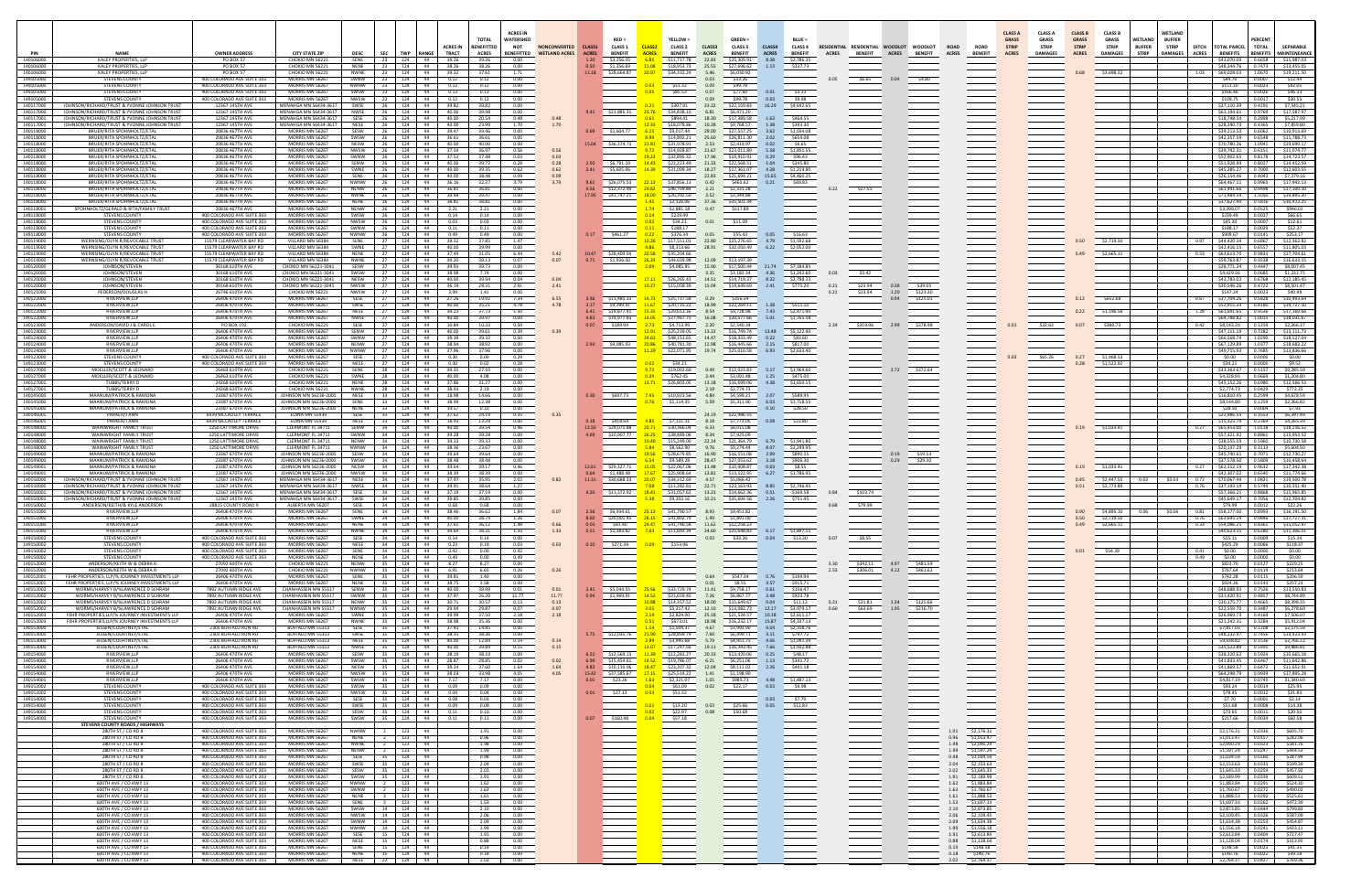| PIN                                 | <b>NAME</b>                                                                                  | <b>OWNER ADDRES</b>                                                                    | <b>CITY STATE ZIP</b>                                 |                                           |                                                   | ACRES IN                                   | <b>ACRES IN</b><br><b>WATERSHED</b><br><b>TOTAL</b><br><b>BENEFITTED</b><br><b>NOT</b> | <b>NONCONVERTED</b><br>BENEFITTED WETLAND ACRES | CLASS1       | $RED =$<br><b>CLASS 1</b><br><b>BENEFIT</b> | <b>CLASS</b>                  | YELLOW =<br><b>CLASS 2</b><br><b>BENEFIT</b>                                                | CLASS3<br><b>ACRES</b> | $GREFN=$<br><b>CLASS 3</b><br><b>BENEFIT</b> | CLASS4                       | <b>BLUE =</b><br><b>CLASS 4</b><br><b>BENEFIT</b> | <b>ACRES</b> | RESIDENTIAL RESIDENTIAL WOODLOT<br><b>BENEFIT</b> | <b>WOODLOT</b>       | <b>ROAD</b><br><b>ROAD</b>                                     | <b>CLASS A</b><br><b>GRASS</b><br><b>STRIP</b> | <b>CLASS A</b><br><b>GRASS</b><br><b>STRIP</b> | <b>CLASS B</b><br><b>GRASS</b><br><b>STRIP</b> | <b>CLASS B</b><br><b>GRASS</b><br><b>STRIP</b> | <b>WETLAND</b><br><b>BUFFER</b> | WETLAND<br><b>BUFFER</b><br><b>STRIP</b><br><b>DITCH</b> | <b>TOTAL PARCEL</b><br><b>BENEFITS</b>  | <b>PERCENT</b><br><b>TOTAL</b>                                  | SEPARABLE                                                  |
|-------------------------------------|----------------------------------------------------------------------------------------------|----------------------------------------------------------------------------------------|-------------------------------------------------------|-------------------------------------------|---------------------------------------------------|--------------------------------------------|----------------------------------------------------------------------------------------|-------------------------------------------------|--------------|---------------------------------------------|-------------------------------|---------------------------------------------------------------------------------------------|------------------------|----------------------------------------------|------------------------------|---------------------------------------------------|--------------|---------------------------------------------------|----------------------|----------------------------------------------------------------|------------------------------------------------|------------------------------------------------|------------------------------------------------|------------------------------------------------|---------------------------------|----------------------------------------------------------|-----------------------------------------|-----------------------------------------------------------------|------------------------------------------------------------|
| 140106000<br>140106000              | KALEY PROPERTIES, LLP<br>KALEY PROPERTIES, LLP                                               | PO BOX 57<br>PO BOX 57                                                                 | CHOKIO MN 56221<br>CHOKIO MN 56221                    | <b>DESC</b><br>SENE<br><b>NENE</b>        | <b>SEC</b><br>TWP RANGE<br>124<br>23<br>124<br>23 | <b>TRACT</b><br>44<br>39.26<br>38.26<br>44 | <b>ACRES</b><br>39.26<br>0.00<br>38.26<br>0.00                                         |                                                 | <b>ACRES</b> | 1.20 \$3,256.05<br>0.50 \$1,356.69          | <b>ACRES</b><br>6.85<br>11.08 | S11.717.78<br>\$18,953.73                                                                   | 22.83<br>25.55         | \$25,309.91<br>\$27,696.62                   | <b>ACRES</b><br>8.38<br>1.13 | \$2,786.35<br>\$337.73                            |              | <b>ACRES</b>                                      | <b>BENEFIT</b>       | <b>ACRES</b><br><b>BENEFIT</b>                                 | <b>ACRES</b>                                   | <b>DAMAGES</b>                                 | <b>ACRES</b>                                   | <b>DAMAGES</b>                                 | <b>STRIP</b>                    | <b>ACRES</b><br><b>DAMAGES</b>                           | \$48.344.76                             | \$43,070.09 0.6658<br>0.7473                                    | BENEFITS MAINTENEANCE<br>\$11.987.03<br>\$13,455.05        |
| 14010600<br>149105000               | KALEY PROPERTIES, LLP<br>STEVENS COUNTY                                                      | PO BOX 57<br>400 COLORADO AVE SUITE 303                                                | CHOKIO MN 5622<br>MORRIS MN 56267                     | SWNW                                      | 124<br>124<br>23                                  | 44<br>39.32<br>44  <br>0.12                | 37.61<br>1.71<br>0.12<br>0.00                                                          |                                                 |              | 11.18 \$28,664.87                           | 20.97                         | \$34,332.24                                                                                 | 5.46<br>0.03           | \$6.030.92<br>\$33.26                        |                              |                                                   |              | \$6.65<br>0.04                                    | \$4.80               |                                                                |                                                |                                                |                                                | \$3,698.52                                     |                                 | 1.03                                                     | \$44.70                                 | 1.0670<br>0.0007                                                | \$19,211.50<br>\$12.44                                     |
| 149105000<br>149105000              | <b>STEVENS COUNTY</b><br><b>STEVENS COUNTY</b>                                               | 400 COLORADO AVE SUITE 303<br>400 COLORADO AVE SUITE 303                               | MORRIS MN 56267<br>MORRIS MN 56267                    | <b>NWNW</b><br>SWSW                       |                                                   | 124 44<br>0.12<br>124 44<br>0.13           | 0.12<br>0.00<br>0.13<br>0.00                                                           |                                                 |              |                                             | 0.05                          | \$51.32<br>\$85.53                                                                          | 0.09<br>0.07           | \$99.78<br>\$77.60                           | 0.01                         | \$3.33                                            |              |                                                   |                      |                                                                |                                                |                                                |                                                |                                                |                                 |                                                          | \$151.10<br>\$166.46                    | 0.0023<br>0.0026                                                | \$42.05<br>\$46.33                                         |
| 149105000<br>140117000              | STEVENS COUNTY<br>JOHNSON/RICHARD/TRUST & YVONNE JOHNSON TRUST                               | 400 COLORADO AVE SUITE 303<br>12367 145TH AVE                                          | MORRIS MN 56267<br>MENAHGA MN 56434-3617              | NWSW<br>SWSF                              | 124<br>- 23<br>124                                | 44<br>0.12<br>39.82<br>44                  | 0.12<br>0.00<br>39.82<br>0.00                                                          |                                                 |              |                                             |                               | \$307.91                                                                                    | 0.09<br>23.32          | \$99.78<br>\$22,159.83                       | 0.03<br>16.29                | \$9.98<br>\$4,642.65                              |              |                                                   |                      |                                                                |                                                |                                                |                                                |                                                |                                 |                                                          | \$109.75<br>27,110.39                   | 0.0017<br>0.4191                                                | \$30.55<br>\$7,545.21                                      |
| 140117000<br>140117001              | JOHNSON/RICHARD/TRUST & YVONNE JOHNSON TRUST<br>JOHNSON/RICHARD/TRUST & YVONNE JOHNSON TRUST | 12367 145TH AVE<br>12367 145TH AVE                                                     | MENAHGA MN 56434-3617<br>MENAHGA MN 56434-3617        | <b>NWSE</b><br>SESE                       | 124<br>124<br>26                                  | 44<br>40.00<br>44<br>40.00                 | 39.98<br>0.00<br>20.54<br>0.48                                                         | 0.48                                            |              | 9.41 \$21.885.31                            | 23.76<br>0.61                 | \$34,838.10<br>\$894.41                                                                     | 6.81<br>18.30          | \$6,471.20<br>\$17,389.58                    | 1.63                         | \$464.55                                          |              |                                                   |                      |                                                                |                                                |                                                |                                                |                                                |                                 |                                                          | \$63,194.61<br>\$18,748.54              | 0.9769<br>0.2898                                                | \$17,587.97<br>\$5,217.99                                  |
| 140117001<br>140118000              | JOHNSON/RICHARD/TRUST & YVONNE JOHNSON TRUST<br><b>BRUER/RITA SPOHNHOLTZ/FTAL</b>            | 12367 145TH AVE<br>20836 467TH AVE                                                     | MENAHGA MN 56434-3617<br>MORRIS MN 56267              | NESE<br>SESW                              | 26<br>124<br>26<br>124                            | 44<br>40.00<br>44  <br>39.47               | 23.99<br>1.70<br>0.00<br>39.46                                                         | 1.70                                            |              | 0.69 \$1.604.77                             | 12.33<br>6.15                 | \$18,078.86<br>\$9.017.44                                                                   | 10.28<br>29.00         | \$9,768.57<br>\$27,557.25                    | 1.38<br>3.62                 | \$393.30<br>\$1,034.08                            |              |                                                   |                      |                                                                |                                                |                                                |                                                |                                                |                                 |                                                          | \$28,240.73<br>\$39,213.53              | 0.4365<br>0.6062                                                | \$7,859.80<br>\$10.913.69                                  |
| 140118000<br>140118000              | <b>BRUER/RITA SPOHNHOLTZ/FTAL</b><br>BRUER/RITA SPOHNHOLTZ/ETAL                              | 20836 467TH AVF<br>20836 467TH AVE                                                     | MORRIS MN 56267<br>MORRIS MN 56267                    | SWSW<br><b>NESW</b>                       | 124<br>26<br>124<br>- 26                          | 44<br>36.61<br>44<br>40.00                 | 36.61<br>0.00<br>40.00<br>0.00                                                         |                                                 |              | 15.64 \$36.374.73                           | 8.99<br>21.81                 | \$14,892.2<br>\$31,978.91                                                                   | 25.60<br>2.53          | \$26,811.30<br>\$2,419.97                    | 2.02<br>0.02                 | \$654.08<br>\$6.65                                |              |                                                   |                      |                                                                |                                                |                                                |                                                |                                                |                                 |                                                          | \$42,357.59<br>\$70,780.26              | 0.6548<br>1.0941                                                | \$11.788.73<br>\$19,699.17                                 |
| 140118000                           | BRUER/RITA SPOHNHOLTZ/ETAL                                                                   | 20836 467TH AVE<br>20836 467TH AVE                                                     | MORRIS MN 56267<br>MORRIS MN 56267                    | NWSW                                      | 124<br>26<br>124                                  | 44<br>37.54<br>44<br>37.52                 | 36.97<br>0.56<br>37.48                                                                 | 0.56<br>0.03                                    |              |                                             |                               | \$14,928.87<br>\$32,895.32                                                                  | 21.67<br>17.96         | \$23,011.89<br>\$19.910.91                   | 5.58<br>0.29                 | \$1,851.55<br>\$96.43                             |              |                                                   |                      |                                                                |                                                |                                                |                                                |                                                |                                 |                                                          | \$39,792.31<br>\$52,902.65              | 0.6151<br>0.8178                                                | \$11,074,77<br>\$14,723.57                                 |
| 140118000<br>140118000<br>140118000 | BRUER/RITA SPOHNHOLTZ/ETAL<br>BRUER/RITA SPOHNHOLTZ/ETAL<br>BRUER/RITA SPOHNHOLTZ/ETAL       | 20836 467TH AVE<br>20836 467TH AVF                                                     | MORRIS MN 56267<br>MORRIS MN 56267                    | WNW<br>SENW<br>SWNE                       | 26<br>124                                         | 44  <br>40.00<br>44                        | 0.03<br>39.72<br>0.28                                                                  | 0.28<br>0.62                                    |              | 2.92 \$6,791.19 14.43<br>2.41 \$5,605.06    | 14.39                         | \$22,223.49                                                                                 | 21.33<br>18.27         | \$22.568.51<br>\$17,361.07                   | 1.04<br>4.28                 | \$345.80<br>\$1,219.80                            |              |                                                   |                      |                                                                |                                                |                                                |                                                |                                                |                                 |                                                          | \$51,928.99<br>\$45,285,27              | 0.8027<br>0.7000                                                | \$14,452.59<br>\$12,603.55                                 |
| 140118000<br>140118000              | BRUER/RITA SPOHNHOLTZ/ETA<br>BRUER/RITA SPOHNHOLTZ/ETAL                                      | 20836 467TH AVE<br>20836 467TH AVE                                                     | MORRIS MN 56267<br>MORRIS MN 56267                    | SENE                                      | 124<br>- 26<br>124<br>26                          | 40.00<br>44  <br>40.00                     | 39.35<br>0.62<br>38.48<br>0.09<br>32.37<br>3.79                                        | 0.09<br>3.79                                    | 9.61         |                                             | 22.13                         | \$21,099.34<br>\$37,856.13                                                                  | 22.83<br>0.42          | \$21.694.21<br>\$465.62                      | 15.65<br>0.21                | \$4,460.25                                        |              |                                                   |                      |                                                                |                                                |                                                |                                                |                                                |                                 |                                                          | \$26,154,46                             | 0.4043<br>0.9965                                                | \$7.279.16<br>\$17,942.13                                  |
| 140118000                           | BRUER/RITA SPOHNHOLTZ/ETAL<br><b>BRUER/RITA SPOHNHOLTZ/ETAL</b>                              | 20836 467TH AVE<br>20836 467TH AVE                                                     | MORRIS MN 56267<br>MORRIS MN 56267                    | <b>NWNW</b><br><b>NENW</b><br><b>NWNE</b> | 124<br>-26<br>124<br>124                          | 36.16<br>- 44<br>36.81<br>-44<br>-44       | 36.81<br>0.00<br>39.47                                                                 |                                                 |              | \$26.075.53<br>4.56 \$12,372.99             | 29.82<br>18.00                | \$46,709.84<br>\$26,392.50                                                                  | 2.21<br>3.52           | \$2,331.28<br>\$3,344.88                     |                              | \$69.83                                           |              | \$27.55                                           |                      |                                                                |                                                |                                                |                                                |                                                |                                 |                                                          | \$64,467.11<br>\$61,441.66<br>71.484.59 | 0.9498<br>1.1050                                                | \$17.100.10<br>\$19,895.20                                 |
| 140118000<br>140118000<br>140118001 | <b>BRUER/RITA SPOHNHOLTZ/FTAL</b><br>SPOHNHOLTZ/GERALD & RITA/FAMILY TRUST                   | 20836 467TH AVE<br>20836 467TH AVE                                                     | MORRIS MN 5626<br>MORRIS MN 56267                     | <b>NENE</b><br><b>NFNW</b>                | 124<br>124<br>- 26                                | 39.48<br>44<br>38.81<br>2.21<br>44         | 0.00<br>38.81<br>0.00<br>2.21<br>0.00                                                  |                                                 |              | 17.95 \$41,747.21                           | 1.45<br>1.74                  | \$2,126.06<br>\$2,881.18                                                                    | 37.36<br>0.47          | \$35,501.34<br>\$517.89                      |                              |                                                   |              |                                                   |                      |                                                                |                                                |                                                |                                                |                                                |                                 |                                                          | \$37,627.40<br>\$3,399.07               | 0.5816<br>0.0525                                                | \$10,472.25<br>\$946.01                                    |
| 149118000<br>149118000              | STEVENS COUNTY<br><b>STEVENS COUNTY</b>                                                      | 400 COLORADO AVE SUITE 303<br>400 COLORADO AVE SUITE 303                               | MORRIS MN 5626<br>MORRIS MN 56267                     | SWSW<br><b>NWSW</b>                       | 124<br>26<br>124<br>26                            | 0.14<br>44  <br>0.03<br>44                 | 0.14<br>0.00<br>0.03<br>0.00                                                           |                                                 |              |                                             | 0.14                          | \$239.49<br>\$34.21                                                                         | 0.01                   | \$11.09                                      |                              |                                                   |              |                                                   |                      |                                                                |                                                |                                                |                                                |                                                |                                 |                                                          | \$239.49<br>\$45.30                     | 0.0037<br>0.0007                                                | \$66.65<br>\$12.61                                         |
| 149118000<br>149118000              | <b>STEVENS COUNTY</b><br><b>STEVENS COUNTY</b>                                               | 400 COLORADO AVE SUITE 303<br>400 COLORADO AVE SUITE 303                               | MORRIS MN 56267<br>MORRIS MN 56267                    | SWNW<br>NWNW                              | 124<br>- 26<br>26<br>124                          | 44  <br>0.11<br>44  <br>0.49               | 0.11<br>0.00<br>0.49<br>0.00                                                           |                                                 |              | $0.17$ \$461.27                             | 0.22                          | \$188.17<br>\$376.34                                                                        | 0.05                   | \$55.43                                      | 0.05                         | \$16.63                                           |              |                                                   |                      |                                                                |                                                |                                                |                                                |                                                |                                 |                                                          | \$188.17<br>\$909.67                    | 0.0029<br>0.0141                                                | \$52.37<br>\$253.17                                        |
| 140119000<br>140119000              | WERNSING/OLYN R/REVOCABLE TRUST<br>WERNSING/OLYN R/REVOCABLE TRUST                           | 15579 CLEARWATER BAY RD<br>15579 CLEARWATER BAY RD                                     | VILLARD MN 56384<br>VILLARD MN 56384                  | SENE<br>SWNE                              | 27<br>27                                          | 124 44<br>39.32<br>124 44<br>40.00         | 37.85<br>1.47<br>39.99<br>0.00                                                         |                                                 |              |                                             | 10.26<br>4.86                 | \$17,551.01<br>\$8,313.66                                                                   | 22.80<br>28.91         | \$25,276.65 4.79<br>\$32,050.49 6.22         |                              | \$1,592.68<br>\$2,052.00                          |              |                                                   |                      |                                                                |                                                |                                                |                                                | \$2,719.50                                     |                                 | 0.97                                                     |                                         | \$44,420.34 0.6867<br>\$42,416.15 0.6557                        | \$12,362.82<br>\$11,805.03                                 |
| 140119000<br>140119000              | WERNSING/OLYN R/REVOCABLE TRUST<br>WERNSING/OLYN R/REVOCABLE TRUST                           | 15579 CLEARWATER BAY RD<br>15579 CLEARWATER BAY RD                                     | VILLARD MN 56384<br>VILLARD MN 56384                  | NENE<br>NWNE                              | 124<br>124                                        | 44<br>37.49<br>39.20<br>- 44               | 31.05<br>6.44<br>39.13<br>0.07                                                         | 5.42<br>0.07                                    |              | 10.47 \$28,409.04<br>0.71 \$1,926.50        | 20.58<br>26.33                | \$35.204.66<br>\$44,639.98                                                                  | 12.09                  | \$13,197.39                                  |                              |                                                   |              |                                                   |                      |                                                                |                                                |                                                |                                                | \$2,665.11                                     |                                 | 0.53                                                     | \$63,613.70<br>\$59.763.87              | 0.9833<br>0.9238                                                | \$17,704.61<br>\$16,633.15                                 |
| 140120000<br>140120000              | JOHNSON/STEVEN<br>JOHNSON/STEVEN                                                             | 30168 610TH AVE<br>30168 610TH AVE                                                     | CHOKIO MN 56221-3041<br>CHOKIO MN 56221-3041          | SESW<br>SWSW                              | 124<br>124                                        | 39.93<br>- 44<br>38.98<br>- 44             | 39.73<br>0.00<br>7.74<br>0.00                                                          |                                                 |              |                                             |                               | \$4,085.95                                                                                  | 15.90<br>3.35          | \$17,500.44 21.74 \$7,184.85<br>\$3,183.34   | 4.36                         | \$1,242.60                                        |              | \$3.42                                            |                      |                                                                |                                                |                                                |                                                |                                                |                                 |                                                          | \$28.771.24<br>\$4.429.36               | 0.4447<br>0.0685                                                | \$8,007.45<br>\$1,232.75                                   |
| 140120000<br>140120000              | JOHNSON/STEVEN<br>JOHNSON/STEVEN                                                             | 30168 610TH AVE<br>30168 610TH AVE                                                     | CHOKIO MN 56221-3041<br>CHOKIO MN 56221-3041          | <b>NWSW</b>                               | 124                                               | 40.00<br>-44<br>36.19                      | 39.94<br>0.04<br>28.31<br>2.41                                                         | 0.04<br>2.41                                    |              |                                             |                               | \$26,265.43<br>\$15,058.39                                                                  | 14.51<br>15.04         | \$14,719.37<br>\$14,649.69                   | 8.32<br>2.41                 | \$2,798.23<br>\$775.20                            | 0.21         | 0.38<br>\$23.94                                   | \$39.05              |                                                                |                                                |                                                |                                                |                                                |                                 |                                                          | \$43,783.03<br>\$30,546.26              | 0.6768<br>0.4722                                                | 12,185.45<br>\$8,501.47                                    |
| 140121000<br>140122000              | PEDERSON/DOUGLAS H<br><b>RIVERVIEW IIP</b>                                                   | 26746 610TH AVE<br>26406 470TH AVE                                                     | CHOKIO MN 56221<br>MORRIS MN 5626                     | NWSW                                      | 124<br>124                                        | -44<br>3.99<br>44                          | 0.00<br>1.41<br>19.92<br>7.34                                                          | 6.55                                            |              | 3.96 \$11.485.33                            | 14.73                         | \$25.737.58                                                                                 | 0.29                   | \$356.34                                     |                              |                                                   | 0.21         | 1.20<br>\$23.94<br>0.94                           | \$123.30<br>\$125.01 |                                                                |                                                |                                                |                                                | \$652.68                                       |                                 | 0.67                                                     | \$147.24<br>\$37.704.26                 | 0.0023<br>0.5828                                                | \$40.98<br>\$10,493.64                                     |
| 140122000<br>140122000              | RIVERVIEW,LLP<br>RIVERVIEW,LLP                                                               | 26406 470TH AVE<br>26406 470TH AVE                                                     | MORRIS MN 56267<br>MORRIS MN 56267                    |                                           | 124<br>27<br>124                                  | 44<br>40.00<br>44<br>39.23                 | 35.21<br>4.78<br>37.73<br>1.50                                                         | 4.78                                            | 6.41         | 3.17 \$9,399.91<br>\$19,877.41              | 11.67<br>15.35                | \$20,735.22<br>\$29,613.36                                                                  | 18.99<br>8.54          | \$22,269.11 1.38<br>\$9,728.98 7.43          |                              | \$511.10<br>\$2,471.90                            |              |                                                   |                      |                                                                |                                                |                                                |                                                | \$1,196.58                                     |                                 | 1.28                                                     | \$61.691.65                             | \$52,915.33 0.8180<br>0.9536                                    | \$14,727.10<br>\$17,169.68                                 |
| 140122000<br>140123000              | RIVERVIEW,LLP<br>ANDERSON/DAVID J & CAROL E                                                  | 26406 470TH AVE<br>PO BOX 192                                                          | MORRIS MN 56267<br>CHOKIO MN 56221                    | SESE                                      | 124<br>27<br>27                                   | 44<br>40.00<br>124 44<br>10.84             | 39.97<br>0.00<br>10.33<br>0.50                                                         |                                                 |              | 4.83 \$14,977.83<br>0.07 \$189.94           | 14.05<br>2.73                 | \$27,467.75<br>\$4,713.99                                                                   | 16.08<br>2.20          | \$20,577.66<br>\$2,540.34                    | 5.01                         | \$1,765.58                                        |              | \$319.96 2.99                                     | \$378.98             |                                                                |                                                | \$32.63                                        | 0.07                                           | \$380.73                                       |                                 |                                                          | \$64,788.82<br>$0.42$ $$8.143.20$       | 1.0015<br>0.1259                                                | \$18,031.67<br>\$2,266,37                                  |
| 140124000<br>140124000              | <b>RIVERVIEW IIP</b><br>RIVERVIEW.LLP                                                        | 26406 470TH AVF<br>26406 470TH AVE                                                     | MORRIS MN 56267<br>MORRIS MN 56267                    | SFNW<br><b>SWNW</b>                       | 27<br>124<br>27                                   | 40.00<br>124 44<br>39.39<br>44             | 39.61<br>0.39<br>39.32<br>0.00                                                         | 0.39                                            |              |                                             | 12.91<br>24.63                | \$25,239.05<br>\$48,151.65                                                                  | 13.22<br>14.47         | \$16,749,74 13.48 \$5,122.40<br>\$18,333.49  | 0.22                         | \$83.60                                           |              |                                                   |                      |                                                                |                                                |                                                |                                                |                                                |                                 |                                                          |                                         | \$47.111.19   0.7282<br>\$66,568,74 1.0290                      | \$13,111.73<br>\$18,527.04                                 |
| 140124000<br>140124000              | RIVERVIEW,LLP<br>RIVERVIEW,LLP                                                               | 26406 470TH AVE<br>26406 470TH AVE                                                     | MORRIS MN 56267<br>MORRIS MN 56267                    | <b>NENW</b><br>NWNW                       | 124  <br>27<br>124                                | 38.94<br>44<br>37.96<br>-44                | 38.92<br>0.00<br>37.96<br>0.00                                                         |                                                 |              | 2.93 \$9.085.93                             | 20.86                         | \$40,781.30<br>\$22,071.95                                                                  | 12.98<br>19.74         | \$16,445.66<br>\$25,010.58                   | 2.15<br>6.93                 | \$817.00<br>\$2,633.40                            |              |                                                   |                      |                                                                |                                                |                                                |                                                |                                                |                                 |                                                          | \$67,129.89<br>\$49.715.93              | 1.0377<br>0.7685                                                | \$18,683.22<br>\$13,836.66                                 |
| 149123000<br>149123000              | <b>STEVENS COUNTY</b><br>STEVENS COUNTY                                                      | 400 COLORADO AVE SUITE 303<br>400 COLORADO AVE SUITE 303                               | MORRIS MN 56267<br>MORRIS MN 56267                    | SESE<br>NESE                              | 124<br>124<br>27                                  | 44<br>0.30<br>44<br>0.30                   | 0.00<br>0.29<br>0.02<br>0.28                                                           |                                                 |              |                                             |                               | \$34.21                                                                                     |                        |                                              |                              |                                                   |              |                                                   |                      |                                                                |                                                | \$65.26                                        |                                                | \$1,468.53<br>\$1,522.92                       |                                 |                                                          | \$0.00<br>\$34.21                       | 0.0000<br>0.0005                                                | \$0.00<br>\$9.52                                           |
| 140127000<br>140127000              | MOELLER/SCOTT & LEONARD<br>MOELLER/SCOTT & LEONARD                                           | 26463 610TH AVE<br>26463 610TH AVE                                                     | CHOKIO MN 5622<br>CHOKIO MN 5622                      | SENE<br>SWNF                              | - 28<br>124<br>28<br>124                          | 44<br>39.35<br>40.00<br>-44                | 27.10<br>0.00<br>4.08<br>0.00                                                          |                                                 |              |                                             | 0.39                          | \$19,002.60<br>\$762.45                                                                     | 9.49<br>2.44           | \$12,023.83<br>\$3.091.48                    | 5.17<br>1.25                 | \$1,964.60<br>\$475.00                            |              | 2.72                                              | \$372.64             |                                                                |                                                |                                                |                                                |                                                |                                 |                                                          | \$33.363.67<br>S4.328.93                | 0.5157<br>0.0669                                                | \$9,285.59<br>\$1,204.80                                   |
| 140127001<br>140127001              | TUBBS/TERRY D<br><b>TUBBS/TERRY D</b>                                                        | 24268 620TH AVE<br>24268 620TH AVE                                                     | CHOKIO MN 5622:<br>CHOKIO MN 5622:                    | <b>NENE</b><br><b>NWNF</b>                | 124<br>28<br>28<br>124                            | 37.86<br>44<br>38.93<br>44                 | 31.27<br>0.00<br>2.19<br>0.00                                                          |                                                 |              |                                             |                               | \$26,803.05                                                                                 | 13.18<br>2.19          | \$16,699.06<br>\$2,774.73                    | 4.38                         | \$1,650.15                                        |              |                                                   |                      |                                                                |                                                |                                                |                                                |                                                |                                 |                                                          | \$45,152,26<br>\$2,774.73               | 0.6980<br>0.0429                                                | \$12,566.53<br>\$772.25                                    |
| 140145000<br>140145000              | MAANUM/PATRICK & RAMON<br>MAANUM/PATRICK & RAMONA                                            | 23387 670TH AV<br>23387 670TH AVE                                                      | OHNSON MN 56236-20<br>JOHNSON MN 56236-2000           | SENE                                      | 124<br>124<br>33                                  | 44  <br>44<br>38.99                        | 14.66<br>12.38<br>0.00                                                                 |                                                 |              | 0.30 \$697.73                               |                               | \$10,923.56<br>\$1,114.35                                                                   | 4.84<br>5.59           | \$4,599.21<br>\$5,311.90                     | 2.07<br>6.03                 | \$1,718.55                                        |              |                                                   |                      |                                                                |                                                |                                                |                                                |                                                |                                 |                                                          | 16.810.45<br>S8.144.80                  | 0.2599<br>0.1259                                                | \$4,678.59<br>\$2,266.82                                   |
| 140145000<br>140146001              | MAANUM/PATRICK & RAMONA<br>PARKER/LANN                                                       | 23387 670TH AVE<br>6439 MCCAULEY TERRACI                                               | OHNSON MN 56236-2000<br><b>FDINA MN 55439</b>         | <b>NENE</b><br>SESE                       | 124<br>33<br>-33                                  | 44  <br>19.57<br>124 44<br>37.62           | 0.10<br>0.00<br>24.19<br>0.35                                                          |                                                 |              |                                             |                               |                                                                                             | 24.19                  | \$22,986.55                                  | 0.10                         | \$28.50                                           |              |                                                   |                      |                                                                |                                                |                                                |                                                |                                                |                                 |                                                          | \$28.50<br>\$22,986.55                  | 0.0004<br>0.3553                                                | \$7.93<br>\$6,397.49                                       |
| 140146001<br>140148000              | PARKER/J ANN<br>WAINWRIGHT FAMILY TRUST                                                      | 6439 MCCAULEY TERRACE<br>1250 LATTIMORE DRIVE                                          | EDINA MN 55439<br>CLERMONT FL 34711                   | NESE<br>SENW                              | 124<br>- 33<br>124<br>34                          | 18.93<br>44<br>40.00<br>- 44               | 13.29<br>0.00<br>39.54<br>0.46                                                         |                                                 |              | 0.18 \$418.64<br>12.50 \$29,071.88          | 20.71                         | \$7.111.31<br>\$30,366.04                                                                   | 8.18<br>6.33           | \$7,773.05<br>\$6,015.08                     | 0.08                         | \$22.80                                           |              |                                                   |                      |                                                                |                                                |                                                |                                                | \$1,033.41                                     |                                 | 0.27                                                     | \$15.325.79<br>\$65,453.00              | 0.2369<br>1.0118                                                | \$4,265.39<br>\$18,216.52                                  |
| 140148000<br>140148000              | WAINWRIGHT FAMILY TRUST<br>WAINWRIGHT FAMILY TRUST                                           | 1250 LATTIMORE DRIVE<br>1250 LATTIMORE DRIVE                                           | CLERMONT FL 34711<br>CLERMONT FL 34711                | SWNW<br><b>NENW</b>                       | 34<br>124<br>34<br>124                            | 44<br>39.28<br>-44<br>39.33                | 39.28<br>0.00<br>39.33<br>0.00                                                         |                                                 |              | 4.69 \$10,907.77                            | 26.25                         | \$38,489.06<br>\$15,249.00                                                                  | 8.34<br>22.14          | \$7,925.09<br>\$21,364.79                    | 6.79                         | \$1,941.80                                        |              |                                                   |                      |                                                                |                                                |                                                |                                                |                                                |                                 |                                                          | \$57.321.92<br>\$38,555.59              | 0.8861<br>0.5960                                                | \$15,953.52<br>\$10,730.58                                 |
| 140148000<br>140149000              | WAINWRIGHT FAMILY TRUST<br>MAANUM/PATRICK & RAMONA                                           | 1250 LATTIMORE DRIVE<br>23387 670TH AVE                                                | CLERMONT FL 34711<br><b>IOHNSON MN 56236-2000</b>     | <b>NWNW</b><br>SESW                       | 34<br>124<br>124<br>34                            | 44<br>38.36<br>44  <br>39.64               | 23.67<br>0.00<br>39.64<br>0.00                                                         |                                                 |              |                                             | 5.84<br>19.56                 | \$8,562.90<br>\$28.679.85                                                                   | 9.76<br>16.90          | \$9,274.44<br>\$16,151.08                    | 8.07<br>2.99                 | \$2,299.95<br>\$890.15                            |              | 0.19                                              | \$19.53              |                                                                |                                                |                                                |                                                |                                                |                                 |                                                          | \$20,137.29<br>\$45,740.61              | 0.3113<br>0.7071                                                | \$5,604.50<br>\$12.730.27                                  |
| 140149000<br>140149001              | MAANUM/PATRICK & RAMONA<br>MAANUM/PATRICK & RAMONA                                           | 23387 670TH AVF<br>23387 670TH AVE                                                     | IOHNSON MN 56236-2000<br>JOHNSON MN 56236-2000        | SWSW<br><b>NESW</b>                       | 34<br>124<br>124<br>34                            | 44<br>38.48<br>39.64<br>-44                | 38.48<br>0.00<br>39.17<br>0.46                                                         |                                                 |              | 12.61 \$29,327.71                           | 6.54<br>15.05                 | \$9,589.28<br>\$22,067.06                                                                   | 28.47<br>11.48         | \$27.053.62<br>\$10,908.87                   | 3.18<br>0.03                 | \$906.30<br>\$8.55                                |              | 0.29                                              | \$29.30              |                                                                |                                                |                                                |                                                | \$1,033.41                                     |                                 | 0.27                                                     | \$37,578.50<br>\$62,312.19              | 0.5809<br>0.9632                                                | \$10,458.64<br>\$17,342.38                                 |
| 140149001<br>140150000              | MAANUM/PATRICK & RAMONA<br>JOHNSON/RICHARD/TRUST & YVONNE JOHNSON TRUST                      | 23387 670TH AVE<br>12367 145TH AVE                                                     | IOHNSON MN 56236-2000<br>MENAHGA MN 56434-3617        | NWSW<br><b>NESE</b>                       | 124<br>124                                        | 44<br>38.39<br>44<br>37.97                 | 38.39<br>0.00<br>35.95<br>2.02                                                         |                                                 |              | 0.64 \$1.488.48<br>11.31 \$30,688.33        | 17.67<br>20.07                | \$25,908.64<br>\$34,312.69                                                                  | 13.81<br>4.57          | \$13,122.95<br>\$5.066.42                    | 6.27                         | \$1,786.95                                        |              |                                                   |                      |                                                                |                                                |                                                |                                                | \$2,447.55                                     | 0.03                            | \$0.03<br>0.72                                           | \$42,307.02<br>\$70,067.44              | 0.6540<br>1.0831                                                | \$11,774.66<br>\$19,500.78                                 |
| 140150000<br>140150001              | JOHNSON/RICHARD/TRUST & YVONNE JOHNSON TRUST<br>JOHNSON/RICHARD/TRUST & YVONNE JOHNSON TRUST | 12367 145TH AVE<br>12367 145TH AVF                                                     | MENAHGA MN 56434-3617<br>MFNAHGA MN 56434-3617        | <b>NWSE</b><br>SESE                       | 34<br>124<br>34<br>124                            | 44  <br>39.91<br>44  <br>37.19             | 38.64<br>1.27<br>37.19<br>0.00                                                         |                                                 |              | 4.20 \$11,372.92 18.41                      | 7.08                          | \$11,282.81<br>\$31.057.62                                                                  | 22.71<br>13.23         | \$23,163.93<br>\$14,662.36 0.51              | 8.85                         | \$2.746.45<br>\$169.58                            | 0.84         | \$103.74                                          |                      |                                                                |                                                |                                                | 0.51                                           | \$2,773.89                                     |                                 | $0.76$                                                   | \$37,193.19<br>\$57,366.21              | 0.5749<br>0.8868                                                | \$10,351.40<br>\$15.965.85                                 |
| 140150001<br>140150002              | JOHNSON/RICHARD/TRUST & YVONNE JOHNSON TRUST<br>ANDERSON/KEITH/& KYLE ANDERSON               | 12367 145TH AVE<br>28815 COUNTY ROAD 9                                                 | MENAHGA MN 56434-3617<br>ALBERTA MN 56207             | SWSE<br>SESE                              | 34<br>124<br>124<br>34                            | $-44$<br>39.85<br>$-44$<br>0.68            | 39.85<br>0.00<br>0.68<br>0.00                                                          |                                                 |              |                                             | 5.38                          | \$9,203.16                                                                                  |                        | 32.21 \$35,694.56 2.26 \$751.45              |                              |                                                   |              | \$79.99                                           |                      |                                                                |                                                |                                                |                                                |                                                |                                 |                                                          | \$45,649.17<br>\$79.99                  | 0.0012                                                          | 0.7056 \$12,704.82<br>\$22.26                              |
| 140151000<br>140151000              | RIVERVIEW,LLP<br>RIVERVIEW.LLP<br>RIVERVIEW.LLP                                              | 26406 470TH AVE<br>26406 470TH AVE<br>26406 470TH AVE                                  | MORRIS MN 56267<br>MORRIS MN 56267<br>MORRIS MN 56267 | SENE<br>SWNE                              | 124<br>34<br>124<br>34                            | 44<br>38.46<br>44<br>40.00<br>44           | 36.62<br>1.84<br>38.74                                                                 | 0.07                                            |              | \$81.40                                     | 24.47                         | 2.56 \$6,934.61 25.13 \$41,790.57 8.93<br>8.60 \$20,001.45 28.15 \$41,802.79<br>\$41,746.58 | 1.99                   | \$9,451.82<br>\$1,891.00                     |                              |                                                   |              |                                                   |                      |                                                                |                                                |                                                | 0.50                                           | \$4,895.10<br>\$2,719.50                       | 0.06                            | 0.81<br>\$0.06<br>0.33                                   |                                         | \$58,177.00 0.8993<br>0.76 \$63,695.24 0.9846 \$17,727.31       | \$16,191.50                                                |
| 140151000<br>140151000<br>149150002 | RIVERVIEW.LLP<br><b>STEVENS COUNTY</b>                                                       | 26406 470TH AVE<br>400 COLORADO AVE SUITE 303                                          | MORRIS MN 56267<br>MORRIS MN 56267                    | NENE<br>NWNE<br><b>SESE</b>               | 124                                               | 37.61<br>34 124 44 39.64<br>34 124 44 0.14 | 36.12<br>1.48<br>38.31<br>1.33<br>0.14<br>0.00                                         | 0.66<br>1.33                                    | 0.03         | $0.51$ \$1,383.82                           | 7.03                          | 511,693.34                                                                                  | 11.62                  | \$12,258.23<br>24.60 \$25,648.83<br>\$33.26  | 6.17<br>0.04                 | \$1,897.15<br>\$13.30                             | 0.07         | \$8.55                                            |                      |                                                                |                                                |                                                | 0.49                                           | \$2,665.11                                     |                                 |                                                          | \$54,086.21<br>\$55.11                  | 0.8361<br>0.0009                                                | \$15,052.97<br>\$40,623.15  0.6280  \$11,306.01<br>\$15.34 |
| 149150002<br>149150002              | STEVENS COUNTY<br>STEVENS COUNTY                                                             | 400 COLORADO AVE SUITE 303<br>400 COLORADO AVE SUITE 303                               | MORRIS MN 56267<br>MORRIS MN 56267                    | <b>NESE</b><br><b>SENE</b>                | 34 124<br>34   124   44                           | 44<br>0.23<br>0.42                         | 0.19<br>0.03<br>0.00<br>0.42                                                           | 0.03                                            |              | $0.10$ \$271.34                             | 0.09                          | \$153.96                                                                                    | 0.03                   |                                              |                              |                                                   |              |                                                   |                      |                                                                |                                                |                                                |                                                | \$54.39                                        |                                 | 0.41                                                     | \$425.29<br>\$0.00                      | 0.0066<br>0.0000                                                | \$118.37<br>\$0.00                                         |
| 149150002<br>140152000              | STEVENS COUNTY<br>ANDERSON/KEITH W & DEBRA R                                                 | 400 COLORADO AVE SUITE 303<br>27092 600TH AVE                                          | MORRIS MN 56267<br>CHOKIO MN 56221                    | <b>NENE</b><br><b>NENW</b>                | 34 124 44                                         | 0.49<br>35   124   44   8.27               | 0.00<br>0.49<br>8.27<br>0.00                                                           |                                                 |              |                                             |                               |                                                                                             |                        |                                              |                              |                                                   | 3.30         | \$342.11 4.97                                     | \$481.59             |                                                                |                                                |                                                |                                                |                                                |                                 | $0.49$                                                   | \$0.00<br>\$823.70                      | 0.0000<br>0.0127                                                | \$0.00<br>\$229.25                                         |
| 140152000<br>140152001              | ANDERSON/KEITH W & DEBRA R<br>FEHR PROPERTIES, LLP/% JOURNEY INVESTMENTS LLP                 | 27092 600TH AVE<br>26406 470TH AVE                                                     | CHOKIO MN 56221<br>MORRIS MN 56267                    | SENE                                      | NWNW 35 124 44<br>- 35 -                          | 6.91<br>124 44<br>39.81                    | 6.65<br>0.26<br>1.40<br>0.00                                                           | 0.26                                            |              |                                             |                               |                                                                                             | 0.64                   | \$547.34                                     |                              | 0.76 \$194.94                                     | 2.53         | \$306.01<br>4.12                                  | \$461.62             |                                                                |                                                |                                                |                                                |                                                |                                 |                                                          | \$767.64<br>\$742.28                    | 0.0119<br>0.0115                                                | \$213.64<br>\$206.59                                       |
| 140152001<br>140152002              | FEHR PROPERTIES. II P/% IOURNEY INVESTMENTS II P<br>WORMS/HARVEY B/%LAWRENCE D SCHRAM        | 26406 470TH AVE<br>7892 AUTUMN RIDGE AVE                                               | MORRIS MN 56267<br>CHANHASSEN MN 55317                | <b>NENE</b><br>SENW                       | - 35 -<br>- 35                                    | 38.75<br>124 44<br>124 44<br>40.00         | 3.58<br>0.00<br>39.99<br>0.01                                                          | 0.01                                            |              | 2.41 \$5,044.55                             | 25.56                         | \$33,729.74                                                                                 | 0.01<br>11.41          | \$8.55<br>\$9,758.17                         | 3.57<br>0.61                 | \$915.71<br>\$156.47                              |              |                                                   |                      |                                                                |                                                |                                                |                                                |                                                |                                 |                                                          | \$924.26<br>\$48.688.93                 | 0.0143<br>0.7526                                                | \$257.23<br>\$13,550.83                                    |
| 140152002<br>140152002              | WORMS/HARVEY B/%LAWRENCE D SCHRAM<br>WORMS/HARVEY B/%LAWRENCE D SCHRAM                       | 7892 AUTUMN RIDGE AVE<br>7892 AUTUMN RIDGE AVE                                         | CHANHASSEN MN 55317<br>HANHASSEN MN 55317             | SWNW<br><b>NENW</b>                       | 124<br>124                                        | 37.97<br>44<br>44<br>30.71                 | 26.20<br>11.77<br>30.57<br>0.13                                                        | 11.77<br>0.13                                   |              | 0.94 \$1,969.91                             | 14.52                         | \$21,659.45<br>\$14,357.52                                                                  | 7.26<br>18.00          | \$6,867.77<br>\$15,649.67                    | 3.48<br>0.04                 | \$923.78<br>\$11.12                               | 0.31         | \$31.81<br>1.34                                   | \$125.66             |                                                                |                                                |                                                |                                                |                                                |                                 |                                                          | \$31,420.91<br>\$30,175.77              | 0.4857<br>0.4665                                                | \$8,744.89<br>\$8,398.35                                   |
| 140152002<br>140152003              | WORMS/HARVEY B/%LAWRENCE D SCHRAM<br>FEHR PROPERTIES.II P/% IOURNEY INVESTMENTS II P         | 7892 AUTUMN RIDGE AVE<br>26406 470TH AVE                                               | CHANHASSEN MN 5531<br>MORRIS MN 56267                 | NWNW<br>SWNE                              | 124<br>124<br>35                                  | 44  <br>29.94<br>44<br>39.99               | 29.87<br>0.07<br>37.50<br>2.18                                                         | 0.07<br>2.18                                    |              |                                             | 3.05<br>2.14                  | \$5,217.42<br>\$2,824.00                                                                    | 12.10<br>25.18         | \$13,082.73<br>\$21,534.57                   | 12.17<br>10.18               | \$3,979.17<br>\$2,611.17                          | 0.60         | \$63.69<br>1.95                                   | \$216.70             |                                                                |                                                |                                                |                                                |                                                |                                 |                                                          | \$22,559.70<br>\$26.969.73              | 0.3487<br>0.4169                                                | \$6,278.69<br>\$7,506.07                                   |
| 140152003<br>140153000              | FEHR PROPERTIES.II P/% IOURNEY INVESTMENTS II P<br>JESSEN/COURTNEY/ETAL                      | 26406 470TH AVF<br>2305 BUFFALO RUN RD                                                 | MORRIS MN 56267<br>BUFFALO MN 55313                   | <b>NWNE</b><br>SESE                       | 124<br>35  <br>124<br>35                          | 38.98<br>44<br>44<br>37.41                 | 35.36<br>0.00<br>14.85<br>0.00                                                         |                                                 |              |                                             | 0.51<br>1.14                  | \$673.01<br>\$1,504.37                                                                      | 18.98<br>4.67          | \$16,232.17<br>\$3,993.90                    | 15.87<br>9.04                | \$4,337.13<br>\$2,318.76                          |              |                                                   |                      |                                                                |                                                |                                                |                                                |                                                |                                 |                                                          |                                         | \$21,242.31  0.3284  \$5,912.04<br>\$7.817.03 0.1208 \$2.175.59 |                                                            |
| 140153000<br>140153000              | JESSEN/COURTNEY/ETAL<br>JESSEN/COURTNEY/ETAL                                                 | 2305 BUFFALO RUN RD<br>2305 BUFFALO RUN RD                                             | BUFFALO MN 55313<br>BUFFALO MN 55313                  | SWSE<br>NESE                              | 35<br>35 124                                      | 124 44<br>38.35<br>$-44$<br>40.00          | 38.36<br>0.00<br>12.84<br>0.14                                                         | 0.14                                            |              | 5.75 \$12,035.76                            | 21.90<br>2.99                 | \$28,899.79<br>\$3,945.68                                                                   | 7.60<br>5.79           | \$6,499.71<br>\$4,951.75                     | 3.11<br>4.06                 | \$797.72<br>\$1,041.39                            |              |                                                   |                      |                                                                |                                                |                                                |                                                |                                                |                                 |                                                          | \$9,938.82                              | \$48,232.97 0.7456                                              | \$13,423.93<br>0.1536 \$2,766.12                           |
| 140153000<br>140154000              | JESSEN/COURTNEY/ETAL<br>RIVERVIEW.IIP                                                        | 2305 BUFFALO RUN RD<br>26406 470TH AVE                                                 | BUFFALO MN 55313<br>MORRIS MN 56267                   | NWSE<br>SESW                              | 35 124 44<br>35 124 44                            | 40.00<br>38.19                             | 39.84<br>0.15<br>38.19<br>0.00                                                         | 0.15                                            |              | 6.22 \$12.569.13 11.39                      | 13.07                         | \$17,247.56<br>\$12.283.27                                                                  | 19.11<br>20.33         | \$16,343.45<br>\$13,420.06                   | 7.66<br>0.25                 | \$1,932.88<br>\$48.17                             |              |                                                   |                      |                                                                |                                                |                                                |                                                |                                                |                                 |                                                          | \$38,320.62                             | \$35,523.89   0.5491<br>0.5924                                  | \$9,886.81<br>\$10,665.18                                  |
| 140154000<br>140154000              | RIVERVIEW.LLP<br>RIVERVIEW,LLP                                                               | 26406 470TH AVE<br>26406 470TH AVE                                                     | MORRIS MN 56267<br>MORRIS MN 56267                    | SWSW<br>NESW                              | 35   124   44<br>35 124 44                        | 28.87<br>39.24                             | 28.85<br>0.02<br>37.60<br>1.64                                                         | 0.02<br>1.64                                    |              | 6.99 \$15,454.61<br>4.83 \$10,110.06        | 14.52<br>18.47                | \$19,786.07<br>\$23,207.32                                                                  | 6.21<br>12.04          | \$6,251.06<br>\$8,111.02                     | 1.13<br>2.26                 | \$341.72<br>\$441.18                              |              |                                                   |                      |                                                                |                                                |                                                |                                                |                                                |                                 |                                                          | \$41,833.45<br>\$41,869.57              | 0.6467<br>0.6472                                                | \$11,642.86<br>\$11,652.91                                 |
| 140154000<br>140154001              | RIVERVIEW,LLP<br>RIVERVIEW,LLP                                                               | 26406 470TH AVE<br>26406 470TH AVE                                                     | MORRIS MN 56267<br>MORRIS MN 56267                    | NWSW<br>SWSW                              | 124 44<br>35<br>124<br>35                         | 38.03<br>44<br>7.17                        | 33.98<br>4.05<br>7.17<br>0.00                                                          | 4.05                                            |              | 15.42 \$37,585.67<br>$0.01$ \$23.26         | 17.15<br>1.63                 | \$25,514.22<br>\$2,321.07                                                                   | 1.41<br>1.05           | \$1,198.90<br>\$985.73                       | 4.48                         | \$1,487.13                                        |              |                                                   |                      |                                                                |                                                |                                                |                                                |                                                |                                 |                                                          | \$64,298.79<br>\$4,817.19               | 0.9939<br>0.0745                                                | \$17,895.28<br>\$1,340.69                                  |
| 149152002<br>149152002              | STEVENS COUNTY<br><b>STEVENS COUNTY</b>                                                      | 400 COLORADO AVE SUITE 303<br>400 COLORADO AVE SUITE 303                               | MORRIS MN 56267<br>MORRIS MN 56267                    | SWSW<br>NWSW                              | 124<br>35<br>124<br>35                            | $-44$<br>0.09<br>0.04<br>44                | 0.09<br>0.00<br>0.04<br>0.00                                                           |                                                 |              | $0.01$ \$27.13                              | 0.04<br>0.03                  | \$61.09<br>\$51.32                                                                          | 0.02                   | \$22.17                                      | 0.03                         | \$9.98                                            |              |                                                   |                      |                                                                |                                                |                                                |                                                |                                                |                                 |                                                          | \$93.24<br>\$78.45                      | 0.0014<br>0.0012                                                | \$25.95<br>\$21.83                                         |
| 149154000<br>149154000              | <b>STEVENS COUNTY</b><br>STEVENS COUNTY                                                      | 400 COLORADO AVE SUITE 303<br>400 COLORADO AVE SUITE 303                               | MORRIS MN 56267<br>MORRIS MN 56267                    | SESE<br>SWSE                              | 124<br>35<br>35<br>124                            | 0.08<br>44  <br>0.09<br>44                 | $0.03$<br>0.09<br>0.00<br>0.00                                                         |                                                 |              |                                             |                               | \$13.20                                                                                     | 0.03                   | \$25.66                                      | 0.03<br>0.05                 | $$7.70$<br>$$12.83$                               |              |                                                   |                      |                                                                |                                                |                                                |                                                |                                                |                                 |                                                          | \$7.70<br>\$51.68                       | 0.0001<br>0.0008                                                | \$2.14<br>\$14.38                                          |
| 149154000<br>149154000              | <b>STEVENS COUNTY</b><br>STEVENS COUNTY                                                      | 400 COLORADO AVE SUITE 303<br>400 COLORADO AVE SUITE 303                               | MORRIS MN 56267<br>MORRIS MN 56267                    | SESW<br>SWSW                              | 124<br>35                                         | $-44$<br>0.11<br>35 124 44 0.11            | 0.10<br>0.00<br>0.11<br>0.00                                                           |                                                 |              | $0.07$ \$160.48                             | 0.02<br>0.04                  | \$22.97<br>\$57.18                                                                          | 0.08                   | \$50.68                                      |                              |                                                   |              |                                                   |                      |                                                                |                                                |                                                |                                                |                                                |                                 |                                                          | \$73.65                                 | 0.0011<br>\$217.66 0.0034                                       | \$20.50<br>\$60.58                                         |
|                                     | <b>STEVENS COUNTY ROADS / HIGHWAYS</b><br>280TH ST / CO RD 8                                 | 400 COLORADO AVE SUITE 303                                                             | MORRIS MN 56267                                       | <b>NWNW</b>                               | 123 44                                            |                                            | 0.00<br>1.91                                                                           |                                                 |              |                                             |                               |                                                                                             |                        |                                              |                              |                                                   |              |                                                   |                      | $\frac{$2,176.31}{$1,013.47}$<br>1.91                          |                                                |                                                |                                                |                                                |                                 |                                                          |                                         | \$2,176.31 0.0336                                               | \$605.70                                                   |
|                                     | 280TH ST / CO RD 8<br>280TH ST / CO RD 8                                                     | 400 COLORADO AVE SUITE 303<br>400 COLORADO AVE SUITE 303                               | MORRIS MN 56267<br>MORRIS MN 56267                    | <b>NENE</b><br>NWNE                       | 2   123   44<br>123 44<br>$\frac{2}{ }$           |                                            | 0.96<br>0.00<br>1.98<br>0.00<br>0.00                                                   |                                                 |              |                                             |                               |                                                                                             |                        |                                              |                              |                                                   |              |                                                   |                      | 0.96<br>1.98<br>\$2,090.29                                     |                                                |                                                |                                                |                                                |                                 |                                                          | \$2,090.29                              | \$1,013.47 0.0157<br>0.0323<br>0.0247                           | \$282.06<br>\$581.76                                       |
|                                     | 280TH ST / CO RD 8<br>280TH ST / CO RD 8<br>280TH ST / CO RD 8                               | 400 COLORADO AVE SUITE 303<br>400 COLORADO AVE SUITE 303<br>400 COLORADO AVE SUITE 303 | MORRIS MN 56267<br>MORRIS MN 56267<br>MORRIS MN 56267 | <b>NENW</b><br>SESE<br>SWSE               | 123 44<br>35<br>124 44<br>35<br>124 44            |                                            | 1.99<br>0.98<br>0.00<br>2.04<br>0.00                                                   |                                                 |              |                                             |                               |                                                                                             |                        |                                              |                              |                                                   |              |                                                   |                      | \$1,597.24<br>1.99<br>0.98<br>\$1,034.59<br>\$2,153.63<br>2.04 |                                                |                                                |                                                |                                                |                                 |                                                          | \$1,597.24<br>\$1,034.59<br>\$2,153.63  | 0.0160<br>0.0333                                                | \$444.53<br>\$287.94<br>\$599.39                           |
|                                     | 280TH ST / CO RD 8<br>280TH ST / CO RD 8                                                     | 400 COLORADO AVE SUITE 303<br>400 COLORADO AVE SUITE 303                               | MORRIS MN 56267<br>MORRIS MN 56267                    | SESW<br>SWSW                              | 124 44<br>35<br>35 124 44                         |                                            | 2.02<br>0.00<br>1.91<br>0.00                                                           |                                                 |              |                                             |                               |                                                                                             |                        |                                              |                              |                                                   |              |                                                   |                      | 2.02<br>\$1,645.33<br>1.91<br>\$2,189.99                       |                                                |                                                |                                                |                                                |                                 |                                                          | \$1,645.33<br>\$2,189.99                | 0.0254<br>0.0339                                                | \$457.92<br>\$609.51                                       |
|                                     | 600TH AVE / CO HWY 13<br>600TH AVE / CO HWY 13                                               | 400 COLORADO AVE SUITE 303<br>400 COLORADO AVE SUITE 303                               | MORRIS MN 56267<br>MORRIS MN 56267                    | <b>NWNW</b><br>SWNW                       | $\overline{2}$<br>123<br>123<br>$\frac{2}{ }$     | 44<br>-44                                  | 0.00<br>1.62<br>1.63<br>0.00                                                           |                                                 |              |                                             |                               |                                                                                             |                        |                                              |                              |                                                   |              |                                                   |                      | 1.62<br>1.63                                                   | \$1,883.84<br>\$1,760.67                       |                                                |                                                |                                                |                                 |                                                          | \$1,883.84<br>\$1,760.67                | 0.0291<br>0.0272                                                | \$524.30<br>\$490.02                                       |
|                                     | 600TH AVE / CO HWY 13<br>600TH AVE / CO HWY 13                                               | 400 COLORADO AVE SUITE 303<br>400 COLORADO AVE SUITE 303                               | MORRIS MN 56267<br>MORRIS MN 56267                    | <b>NENE</b><br>SENE                       | 3   123   44<br>3   123   44                      |                                            | 0.00<br>1.61<br>1.53<br>0.00                                                           |                                                 |              |                                             |                               |                                                                                             |                        |                                              |                              |                                                   |              |                                                   |                      | 1.61<br>\$1,888.53<br>1.53<br>\$1,697.33                       |                                                |                                                |                                                |                                                |                                 |                                                          | \$1,888.53<br>\$1,697.33                | 0.0292<br>0.0262                                                | \$525.61<br>\$472.39                                       |
|                                     | 600TH AVE / CO HWY 13<br>600TH AVE / CO HWY 1                                                | 400 COLORADO AVE SUITE 303<br>400 COLORADO AVE SUITE 303                               | MORRIS MN 56267<br>MORRIS MN 56267                    | SWSW<br>NWSW                              | 14   124   44<br>14   124   44                    |                                            | 2.10<br>0.00<br>2.06<br>0.00                                                           |                                                 |              |                                             |                               |                                                                                             |                        |                                              |                              |                                                   |              |                                                   |                      | 2.10<br>\$2,873.85<br>2.06                                     | \$2,109.45                                     |                                                |                                                |                                                |                                 |                                                          | \$2,873.85<br>\$2,109.45                | 0.0444<br>0.0326                                                | \$799.83<br>\$587.09                                       |
|                                     | 600TH AVE / CO HWY 1<br>600TH AVE / CO HWY 13                                                | 400 COLORADO AVE SUITE 303<br>400 COLORADO AVE SUITE 303                               | MORRIS MN 56267<br>MORRIS MN 56267                    | SWNW<br>NWNW                              | 14   124   44<br>14   124   44                    |                                            | 2.09<br>0.00<br>1.99<br>0.00                                                           |                                                 |              |                                             |                               |                                                                                             |                        |                                              |                              |                                                   |              |                                                   |                      | 2.09<br>\$1,634.38<br>1.99                                     | \$1,556.18                                     |                                                |                                                |                                                |                                 |                                                          | \$1,634.38<br>\$1,556.18                | 0.0253<br>0.0241                                                | \$454.87<br>\$433.11                                       |
|                                     | 600TH AVE / CO HWY 13<br>600TH AVE / CO HWY 13                                               | 400 COLORADO AVE SUITE 303<br>400 COLORADO AVE SUITE 303                               | MORRIS MN 56267<br>MORRIS MN 56267                    | SESE<br>NESE                              | 124 44<br>124 44<br>15                            |                                            | 0.00<br>1.91<br>0.88<br>0.00                                                           |                                                 |              |                                             |                               |                                                                                             |                        |                                              |                              |                                                   |              |                                                   |                      | 1.91<br>\$2,613.84<br>0.88<br>\$1,128.04                       |                                                |                                                |                                                |                                                |                                 |                                                          | \$2,613.84<br>\$1,128.04                | 0.0404<br>0.0174                                                | \$727.47<br>\$313.95                                       |
|                                     | 600TH AVE / CO HWY 13<br>600TH AVE / CO HWY 13                                               | 400 COLORADO AVE SUITE 303<br>400 COLORADO AVE SUITE 303                               | MORRIS MN 56267<br>MORRIS MN 56267                    | SENE                                      | 15<br>124 44<br>NENE 15 124 44                    |                                            | 0.19<br>0.00<br>0.18<br>0.00                                                           |                                                 |              |                                             |                               |                                                                                             |                        |                                              |                              |                                                   |              |                                                   |                      | \$148.58<br>0.19<br>\$140.76<br>0.18                           |                                                |                                                |                                                |                                                |                                 |                                                          | \$148.58                                | 0.0023<br>$$140.76$ 0.0022                                      | \$41.35<br>\$39.18                                         |
|                                     | 600TH AVE / CO HWY 13                                                                        | 400 COLORADO AVE SUITE 303                                                             | MORRIS MN 56267                                       |                                           | NESE 22 124 44                                    |                                            | 2.02 0.00                                                                              |                                                 |              |                                             |                               |                                                                                             |                        |                                              |                              |                                                   |              |                                                   |                      | 2.02 \$2,764.37                                                |                                                |                                                |                                                |                                                |                                 |                                                          |                                         |                                                                 | \$2,764.37 0.0427 \$769.36                                 |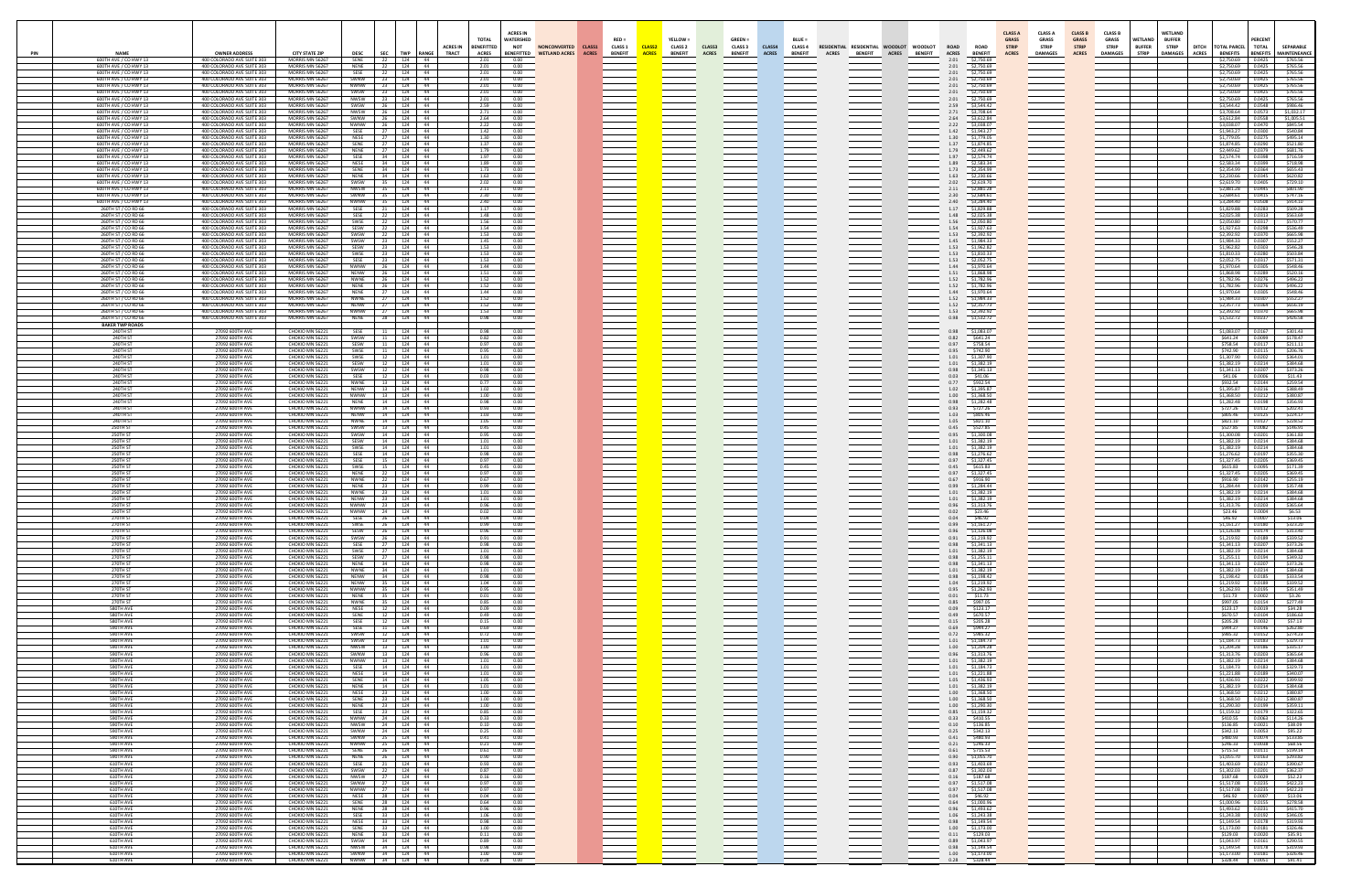| PIN | <b>NAME</b><br>600TH AVE / CO HWY 13                                    | <b>OWNER ADDRESS</b><br>400 COLORADO AVE SUITE 303                                     | <b>CITY STATE ZIP</b><br>MORRIS MN 56267              | <b>DESC</b><br>SENE                       | <b>SEC</b><br>TWP RANGE<br>124 44<br>22                                                                                                         | <b>ACRES IN</b><br><b>TRACT</b>  | <b>TOTAL</b><br><b>BENEFITTED</b><br><b>ACRES</b><br>2.01                         | <b>ACRES IN</b><br>WATERSHED<br><b>NOT</b><br><b>NONCONVERTED</b><br><b>BENEFITTED</b><br><b>WETLAND ACRES</b><br>0.00              | CLASS1<br><b>ACRES</b> | $RED =$<br><b>CLASS 1</b><br><b>BENEFIT</b> | YELLOW =<br>CLASS2<br><b>CLASS 2</b><br><b>ACRES</b><br><b>BENEFIT</b> | CLASS3<br><b>ACRES</b> | $GREEN =$<br><b>CLASS 3</b><br><b>BENEFIT</b> | CLASS4<br><b>ACRES</b> | <b>BLUE:</b><br><b>CLASS 4</b><br><b>BENEFIT</b> | RESIDENTIAL RESIDENTIAL WOODLOT<br><b>BENEFIT</b><br><b>ACRES</b> | <b>WOODLOT</b><br><b>BENEFIT</b><br><b>ACRES</b> | <b>ROAD</b><br><b>ROAD</b><br><b>ACRES</b><br><b>BENEFIT</b><br>2.01<br>\$2,750.69                                                                                                                                                             | <b>CLASS A</b><br><b>GRASS</b><br><b>STRIP</b><br><b>ACRES</b> | <b>CLASS A</b><br><b>GRASS</b><br><b>STRIP</b><br><b>DAMAGES</b> | <b>CLASS B</b><br><b>GRASS</b><br><b>STRIP</b><br><b>ACRES</b> | <b>CLASS B</b><br><b>GRASS</b><br><b>STRIP</b><br><b>DAMAGES</b> | WETLAND<br><b>BUFFER</b><br><b>STRIP</b> | <b>WETLAND</b><br><b>BUFFER</b><br><b>STRIP</b><br><b>DAMAGES</b> | DITCH TOTAL PARCEL TOTAL<br><b>ACRES</b><br><b>BENEFITS</b><br>\$2,750.69 | <b>PERCENT</b><br>0.0425   | <b>SEPARABLE</b><br>BENEFITS MAINTENEANCE<br>\$765.56 |
|-----|-------------------------------------------------------------------------|----------------------------------------------------------------------------------------|-------------------------------------------------------|-------------------------------------------|-------------------------------------------------------------------------------------------------------------------------------------------------|----------------------------------|-----------------------------------------------------------------------------------|-------------------------------------------------------------------------------------------------------------------------------------|------------------------|---------------------------------------------|------------------------------------------------------------------------|------------------------|-----------------------------------------------|------------------------|--------------------------------------------------|-------------------------------------------------------------------|--------------------------------------------------|------------------------------------------------------------------------------------------------------------------------------------------------------------------------------------------------------------------------------------------------|----------------------------------------------------------------|------------------------------------------------------------------|----------------------------------------------------------------|------------------------------------------------------------------|------------------------------------------|-------------------------------------------------------------------|---------------------------------------------------------------------------|----------------------------|-------------------------------------------------------|
|     | 600TH AVE / CO HWY 1<br>600TH AVE / CO HWY 1                            | 400 COLORADO AVE SUITE 303<br>400 COLORADO AVE SUITE 303                               | MORRIS MN 56267<br>MORRIS MN 56267                    | <b>NENE</b><br>SESE                       | 22 124 44<br>22 124 44                                                                                                                          |                                  | 2.01<br>2.01                                                                      | 0.00<br>0.00                                                                                                                        |                        |                                             |                                                                        |                        |                                               |                        |                                                  |                                                                   |                                                  | 2.01<br>\$2,750.69<br>2.01<br>\$2,750.69                                                                                                                                                                                                       |                                                                |                                                                  |                                                                |                                                                  |                                          |                                                                   | \$2,750.69<br>\$2,750.69                                                  | 0.0425<br>0.0425           | \$765.56<br>\$765.56                                  |
|     | 600TH AVE / CO HWY 13<br>600TH AVE / CO HWY 13<br>600TH AVE / CO HWY 13 | 400 COLORADO AVE SUITE 303<br>400 COLORADO AVE SUITE 303<br>400 COLORADO AVE SUITE 303 | MORRIS MN 56267<br>MORRIS MN 56267<br>MORRIS MN 56267 | SWNW                                      | 23   124   44<br>NWNW 23 124 44<br>SWSW 23 124 44                                                                                               |                                  | 2.01<br>2.01<br>2.01                                                              | 0.00<br>0.00<br>0.00                                                                                                                |                        |                                             |                                                                        |                        |                                               |                        |                                                  |                                                                   |                                                  | 2.01<br>\$2,750.69<br>2.01<br>\$2,750.69<br>2.01<br>\$2,750.69                                                                                                                                                                                 |                                                                |                                                                  |                                                                |                                                                  |                                          |                                                                   | \$2,750.69<br>\$2,750.69<br>\$2,750.69                                    | 0.0425<br>0.0425<br>0.0425 | \$765.56<br>\$765.56<br>\$765.56                      |
|     | 600TH AVE / CO HWY 13<br>600TH AVE / CO HWY 13                          | 400 COLORADO AVE SUITE 303<br>400 COLORADO AVE SUITE 303                               | MORRIS MN 56267<br>MORRIS MN 56267                    | <b>NWSW</b><br>SWSW                       | 124 44<br>23<br>124 44<br>26                                                                                                                    |                                  | 2.01<br>2.59                                                                      | 0.00<br>0.00                                                                                                                        |                        |                                             |                                                                        |                        |                                               |                        |                                                  |                                                                   |                                                  | 2.01<br>\$2,750.69<br>2.59<br>\$3,544.42                                                                                                                                                                                                       |                                                                |                                                                  |                                                                |                                                                  |                                          |                                                                   | \$2,750.69<br>\$3,544.42                                                  | 0.0425<br>0.0548           | \$765.56<br>\$986.46                                  |
|     | 600TH AVE / CO HWY 13<br>600TH AVE / CO HWY 13                          | 400 COLORADO AVE SUITE 303<br>400 COLORADO AVE SUITE 303                               | MORRIS MN 56267<br>MORRIS MN 56267                    | NWSW<br>SWNW                              | 124 44<br>26<br>124 44<br>26                                                                                                                    |                                  | 2.71<br>2.64                                                                      | 0.00<br>0.00                                                                                                                        |                        |                                             |                                                                        |                        |                                               |                        |                                                  |                                                                   |                                                  | 2.71<br>\$3,708.64<br>2.64<br>\$3,612.84                                                                                                                                                                                                       |                                                                |                                                                  |                                                                |                                                                  |                                          |                                                                   | \$3,708.64<br>\$3,612.84                                                  | 0.0573<br>0.0558           | \$1,032.17<br>\$1,005.51                              |
|     | 600TH AVE / CO HWY 13<br>600TH AVE / CO HWY 13<br>600TH AVE / CO HWY 1  | 400 COLORADO AVE SUITE 303<br>400 COLORADO AVE SUITE 303<br>400 COLORADO AVE SUITE 303 | MORRIS MN 56267<br>MORRIS MN 56267<br>MORRIS MN 56267 | <b>NWNW</b><br>SESE<br>NESE               | 124 44<br>26<br>27<br>124 44<br>27<br>124 44                                                                                                    |                                  | 2.22<br>1.42<br>1.30                                                              | 0.00<br>0.00<br>0.00                                                                                                                |                        |                                             |                                                                        |                        |                                               |                        |                                                  |                                                                   |                                                  | 2.22<br>\$3,038.07<br>1.42<br>\$1,943.27<br>1.30<br>\$1,779.05                                                                                                                                                                                 |                                                                |                                                                  |                                                                |                                                                  |                                          |                                                                   | \$3,038.07<br>\$1,943.27<br>\$1,779.05                                    | 0.0470<br>0.0300<br>0.0275 | \$845.54<br>\$540.84<br>\$495.14                      |
|     | 600TH AVE / CO HWY 1<br>600TH AVE / CO HWY 1                            | 400 COLORADO AVE SUITE 303<br>400 COLORADO AVE SUITE 303                               | MORRIS MN 56267<br>MORRIS MN 56267                    | SENE<br><b>NENE</b>                       | 27 124 44<br>27<br>124 44                                                                                                                       |                                  | 1.37<br>1.79                                                                      | 0.00<br>0.00                                                                                                                        |                        |                                             |                                                                        |                        |                                               |                        |                                                  |                                                                   |                                                  | 1.37<br>\$1,874.85<br>1.79<br>\$2,449.62                                                                                                                                                                                                       |                                                                |                                                                  |                                                                |                                                                  |                                          |                                                                   | \$1,874.85   0.0290<br>\$2,449.62                                         | 0.0379                     | \$521.80<br>\$681.76                                  |
|     | 600TH AVE / CO HWY 1<br>600TH AVE / CO HWY 13                           | 400 COLORADO AVE SUITE 303<br>400 COLORADO AVE SUITE 303                               | MORRIS MN 56267<br>MORRIS MN 56267                    |                                           | SESE 34 124 44<br>NESE 34 124 44                                                                                                                |                                  | 1.97<br>1.89                                                                      | 0.00<br>0.00                                                                                                                        |                        |                                             |                                                                        |                        |                                               |                        |                                                  |                                                                   |                                                  | 1.97<br>\$2,574.74<br>1.89<br>\$2,583.34                                                                                                                                                                                                       |                                                                |                                                                  |                                                                |                                                                  |                                          |                                                                   | \$2,574.74 0.0398<br>\$2,583.34 0.0399                                    |                            | \$716.59<br>\$718.98                                  |
|     | 600TH AVE / CO HWY 13<br>600TH AVE / CO HWY 13<br>600TH AVE / CO HWY 13 | 400 COLORADO AVE SUITE 303<br>400 COLORADO AVE SUITE 303<br>400 COLORADO AVE SUITE 303 | MORRIS MN 56267<br>MORRIS MN 56267<br>MORRIS MN 56267 | SENE<br><b>NENE</b><br>SWSW               | 34 124 44<br>34 124 44<br>124 44<br>35                                                                                                          |                                  | 1.73<br>1.63<br>2.02                                                              | 0.00<br>0.00<br>0.00                                                                                                                |                        |                                             |                                                                        |                        |                                               |                        |                                                  |                                                                   |                                                  | 1.73<br>\$2,354.99<br>1.63<br>\$2,230.66<br>2.02<br>\$2,619.70                                                                                                                                                                                 |                                                                |                                                                  |                                                                |                                                                  |                                          |                                                                   | \$2,354.99<br>\$2,230.66<br>\$2,619.70                                    | 0.0364<br>0.0345<br>0.0405 | \$655.43<br>\$620.82<br>\$729.10                      |
|     | 600TH AVE / CO HWY 13<br>600TH AVE / CO HWY 13                          | 400 COLORADO AVE SUITE 303<br>400 COLORADO AVE SUITE 303                               | MORRIS MN 56267<br>MORRIS MN 56267                    | <b>NWSW</b><br>SWNW                       | 124 44<br>35<br>124 44<br>- 35                                                                                                                  |                                  | 2.11<br>2.30                                                                      | 0.00<br>0.00                                                                                                                        |                        |                                             |                                                                        |                        |                                               |                        |                                                  |                                                                   |                                                  | 2.11<br>\$2,881.28<br>2.30<br>\$2,684.61                                                                                                                                                                                                       |                                                                |                                                                  |                                                                |                                                                  |                                          |                                                                   | \$2,881.28<br>\$2,684.61                                                  | 0.0445<br>0.0415           | \$801.90<br>\$747.16                                  |
|     | 600TH AVE / CO HWY 13<br>260TH ST / CO RD 66                            | 400 COLORADO AVE SUITE 303<br>400 COLORADO AVE SUITE 303                               | MORRIS MN 56267<br>MORRIS MN 56267<br>MORRIS MN 56267 | NWNW<br>SESE<br><b>SESE</b>               | 124 44<br>124 44<br>22                                                                                                                          |                                  | 2.40<br>1.17<br>1.48                                                              | 0.00<br>0.00                                                                                                                        |                        |                                             |                                                                        |                        |                                               |                        |                                                  |                                                                   |                                                  | 2.40<br>\$3,284.40<br>1.17<br>\$1,829.88<br>1.48                                                                                                                                                                                               |                                                                |                                                                  |                                                                |                                                                  |                                          |                                                                   | \$3,284.40<br>\$1,829.88                                                  | 0.0508<br>0.0283           | \$914.10<br>\$509.28                                  |
|     | 260TH ST / CO RD 66<br>260TH ST / CO RD 66<br>260TH ST / CO RD 66       | 400 COLORADO AVE SUITE 303<br>400 COLORADO AVE SUITE 303<br>400 COLORADO AVE SUITE 303 | MORRIS MN 56267<br>MORRIS MN 56267                    | SWSE<br>SESW                              | 124 44<br>22<br>124 44<br>22 124 44                                                                                                             |                                  | 1.56<br>1.54                                                                      | 0.00<br>0.00<br>0.00                                                                                                                |                        |                                             |                                                                        |                        |                                               |                        |                                                  |                                                                   |                                                  | \$2,025.38<br>1.56<br>\$2,050.80<br>1.54<br>\$1,927.63                                                                                                                                                                                         |                                                                |                                                                  |                                                                |                                                                  |                                          |                                                                   | \$2,025.38 0.0313<br>\$2,050.80<br>\$1,927.63                             | 0.0317<br>0.0298           | \$563.69<br>\$570.77<br>\$536.49                      |
|     | 260TH ST / CO RD 66<br>260TH ST / CO RD 66                              | 400 COLORADO AVE SUITE 303<br>400 COLORADO AVE SUITE 303                               | MORRIS MN 56267<br>MORRIS MN 56267                    | SWSW                                      | 22 124 44<br>SWSW 23 124 44                                                                                                                     |                                  | 1.53<br>1.45                                                                      | 0.00<br>0.00                                                                                                                        |                        |                                             |                                                                        |                        |                                               |                        |                                                  |                                                                   |                                                  | 1.53<br>\$2,392.92<br>1.45<br>\$1,984.33                                                                                                                                                                                                       |                                                                |                                                                  |                                                                |                                                                  |                                          |                                                                   | \$2,392.92<br>\$1,984.33                                                  | 0.0370<br>0.0307           | \$665.98<br>\$552.27                                  |
|     | 260TH ST / CO RD 66<br>260TH ST / CO RD 66<br>260TH ST / CO RD 66       | 400 COLORADO AVE SUITE 303<br>400 COLORADO AVE SUITE 303<br>400 COLORADO AVE SUITE 303 | MORRIS MN 56267<br>MORRIS MN 56267<br>MORRIS MN 56267 | SWSE<br>SESE                              | SESW 23 124 44<br>$23 \mid 124 \mid 44$<br>124 44<br>23                                                                                         |                                  | 1.53<br>1.53<br>1.53                                                              | 0.00<br>0.00<br>0.00                                                                                                                |                        |                                             |                                                                        |                        |                                               |                        |                                                  |                                                                   |                                                  | 1.53<br>\$1,962.82<br>1.53<br>\$1,810.33<br>1.53<br>\$2,052.75                                                                                                                                                                                 |                                                                |                                                                  |                                                                |                                                                  |                                          |                                                                   | \$1,962.82<br>\$1,810.33<br>\$2,052.75                                    | 0.0303<br>0.0280<br>0.0317 | \$546.28<br>\$503.84<br>\$571.31                      |
|     | 260TH ST / CO RD 66<br>260TH ST / CO RD 66                              | 400 COLORADO AVE SUITE 303<br>400 COLORADO AVE SUITE 303                               | MORRIS MN 56267<br>MORRIS MN 56267                    | <b>NWNW</b><br><b>NENW</b>                | 124 44<br>26<br>124 44<br>- 26                                                                                                                  |                                  | 1.44<br>1.51                                                                      | 0.00<br>0.00                                                                                                                        |                        |                                             |                                                                        |                        |                                               |                        |                                                  |                                                                   |                                                  | 1.44<br>\$1,970.64<br>1.51<br>\$1,868.98                                                                                                                                                                                                       |                                                                |                                                                  |                                                                |                                                                  |                                          |                                                                   | \$1,970.64<br>\$1,868.98                                                  | 0.0305<br>0.0289           | \$548.46<br>\$520.16                                  |
|     | 260TH ST / CO RD 66<br>260TH ST / CO RD 66<br>260TH ST / CO RD 66       | 400 COLORADO AVE SUITE 303<br>400 COLORADO AVE SUITE 303<br>400 COLORADO AVE SUITE 303 | MORRIS MN 56267<br>MORRIS MN 56267<br>MORRIS MN 56267 | NWNE<br>NENE                              | 124<br>$124$ $44$<br>124 44                                                                                                                     | $-44$                            | 1.52<br>1.52<br>1.44                                                              | 0.00<br>0.00<br>0.00                                                                                                                |                        |                                             |                                                                        |                        |                                               |                        |                                                  |                                                                   |                                                  | 1.52<br>\$1,782.96<br>1.52<br>\$1,782.96<br>\$1,970.64                                                                                                                                                                                         |                                                                |                                                                  |                                                                |                                                                  |                                          |                                                                   | \$1,782.96<br>\$1,782.96                                                  | 0.0276<br>0.0276           | \$496.22<br>\$496.22<br>\$548.46                      |
|     | 260TH ST / CO RD 66<br>260TH ST / CO RD 66                              | 400 COLORADO AVE SUITE 303<br>400 COLORADO AVE SUITE 303                               | MORRIS MN 56267<br>MORRIS MN 56267                    | NENE<br>NWNE <sub>27</sub><br><b>NENW</b> | 124 44<br>27 124 44                                                                                                                             |                                  | 1.52<br>1.52                                                                      | 0.00<br>0.00                                                                                                                        |                        |                                             |                                                                        |                        |                                               |                        |                                                  |                                                                   |                                                  | 1.44<br>1.52<br>\$1,984.33<br>\$2,357.73<br>1.52                                                                                                                                                                                               |                                                                |                                                                  |                                                                |                                                                  |                                          |                                                                   | \$1,970.64<br>\$1,984.33<br>\$2,357.73 0.0364                             | 0.0305<br>0.0307           | \$552.27<br>\$656.19                                  |
|     | 260TH ST / CO RD 66<br>260TH ST / CO RD 66                              | 400 COLORADO AVE SUITE 303<br>400 COLORADO AVE SUITE 303                               | MORRIS MN 56267<br>MORRIS MN 56267                    | NWNW 27                                   | 124 44<br>NENE 28 124 44                                                                                                                        |                                  | 1.53<br>0.98                                                                      | 0.00<br>0.00                                                                                                                        |                        |                                             |                                                                        |                        |                                               |                        |                                                  |                                                                   |                                                  | 1.53<br>\$2,392.92<br>0.98<br>\$1,532.72                                                                                                                                                                                                       |                                                                |                                                                  |                                                                |                                                                  |                                          |                                                                   | \$2,392.92<br>\$1,532.72 0.0237                                           | 0.0370                     | \$665.98<br>\$426.58                                  |
|     | <b>BAKER TWP ROADS</b><br>240TH ST<br>240TH ST                          | 27092 600TH AVE<br>27092 600TH AVE                                                     | CHOKIO MN 56221<br>CHOKIO MN 56221                    | SWSW                                      | SESE 11 124 44<br>124 44<br>$\begin{array}{ccc} \end{array}$ 11 $\end{array}$                                                                   |                                  | 0.98<br>0.82                                                                      | 0.00<br>0.00                                                                                                                        |                        |                                             |                                                                        |                        |                                               |                        |                                                  |                                                                   |                                                  | \$1,083.07<br>0.98<br>0.82<br>\$641.24                                                                                                                                                                                                         |                                                                |                                                                  |                                                                |                                                                  |                                          |                                                                   | \$1,083.07   0.0167<br>\$641.24                                           | 0.0099                     | \$301.43<br>\$178.47                                  |
|     | 240TH ST<br>240TH ST                                                    | 27092 600TH AVE<br>27092 600TH AVE                                                     | CHOKIO MN 56221<br>CHOKIO MN 56221                    | SESW<br>SWSE                              | 124 44<br>11<br>124 44<br>11                                                                                                                    |                                  | 0.97<br>0.95                                                                      | 0.00<br>0.00                                                                                                                        |                        |                                             |                                                                        |                        |                                               |                        |                                                  |                                                                   |                                                  | 0.97<br>\$758.54<br>0.95<br>\$742.90                                                                                                                                                                                                           |                                                                |                                                                  |                                                                |                                                                  |                                          |                                                                   | \$758.54<br>\$742.90                                                      | 0.0117<br>0.0115           | \$211.11<br>\$206.76                                  |
|     | 240TH ST<br>240TH ST<br>240TH ST                                        | 27092 600TH AVE<br>27092 600TH AVE<br>27092 600TH AVE                                  | CHOKIO MN 56221<br>CHOKIO MN 56221<br>CHOKIO MN 56221 | SWSE<br>SESW<br>SWSW                      | 124<br>124<br>12                                                                                                                                | $\frac{44}{3}$<br>$\frac{44}{3}$ | 1.01<br>1.01<br>0.98                                                              | 0.00<br>0.00<br>0.00                                                                                                                |                        |                                             |                                                                        |                        |                                               |                        |                                                  |                                                                   |                                                  | 1.01<br>\$1,307.90<br>1.01<br>\$1,382.19                                                                                                                                                                                                       |                                                                |                                                                  |                                                                |                                                                  |                                          |                                                                   | \$1,307.90<br>\$1,382.19<br>\$1,341.13                                    | 0.0202<br>0.0214<br>0.0207 | \$364.01<br>\$384.68                                  |
|     | <b>240TH ST</b><br>240TH ST                                             | 27092 600TH AVE<br>27092 600TH AVE                                                     | CHOKIO MN 56221<br>CHOKIO MN 56221                    | SESE 12<br>NWNE                           | 124 44<br>124 44<br>13<br>124 44                                                                                                                |                                  | 0.03<br>0.77                                                                      | 0.00<br>0.00                                                                                                                        |                        |                                             |                                                                        |                        |                                               |                        |                                                  |                                                                   |                                                  | 0.98<br>\$1,341.13<br>0.03<br>\$41.06<br>0.77<br>\$932.54                                                                                                                                                                                      |                                                                |                                                                  |                                                                |                                                                  |                                          |                                                                   | \$41.06<br>\$932.54                                                       | 0.0006<br>0.0144           | \$373.26<br>\$11.43<br>\$259.54                       |
|     | 240TH ST<br>240TH ST                                                    | 27092 600TH AVE<br>27092 600TH AVE                                                     | CHOKIO MN 56221<br>CHOKIO MN 56221                    | <b>NFNW</b><br>NWNW                       | 13 124 44<br>13   124   44                                                                                                                      |                                  | 1.02<br>1.00                                                                      | 0.00<br>0.00                                                                                                                        |                        |                                             |                                                                        |                        |                                               |                        |                                                  |                                                                   |                                                  | 1.02<br>\$1,395.87<br>1.00<br>\$1,368.50                                                                                                                                                                                                       |                                                                |                                                                  |                                                                |                                                                  |                                          |                                                                   | \$1,395.87<br>\$1,368.50                                                  | 0.0216<br>0.0212           | \$388.49<br>\$380.87                                  |
|     | 240TH ST<br>240TH ST<br>240TH ST                                        | 27092 600TH AVE<br>27092 600TH AVE<br>27092 600TH AVE                                  | CHOKIO MN 56221<br>CHOKIO MN 56221<br>CHOKIO MN 56221 |                                           | NENE 14 124 44<br>NWNW 14 124 44<br>NENW   14   124   44                                                                                        |                                  | 0.98<br>0.93<br>1.03                                                              | 0.00<br>0.00<br>0.00                                                                                                                |                        |                                             |                                                                        |                        |                                               |                        |                                                  |                                                                   |                                                  | 0.98<br>\$1,282.48<br>\$727.26<br>0.93<br>1.03<br>\$805.46                                                                                                                                                                                     |                                                                |                                                                  |                                                                |                                                                  |                                          |                                                                   | \$1,282.48<br>\$727.26<br>\$805.46                                        | 0.0198<br>0.0112<br>0.0125 | \$356.93<br>\$202.41<br>\$224.17                      |
|     | 240TH ST<br>250TH ST                                                    | 27092 600TH AVE<br>27092 600TH AVE                                                     | CHOKIO MN 56221<br>CHOKIO MN 56221                    | <b>NWNE</b><br>SWSW                       | 124 44<br>14<br>124 44<br><b>13</b>                                                                                                             |                                  | 1.05<br>0.45                                                                      | 0.00<br>0.00                                                                                                                        |                        |                                             |                                                                        |                        |                                               |                        |                                                  |                                                                   |                                                  | 1.05<br>\$821.10<br>0.45<br>\$527.85                                                                                                                                                                                                           |                                                                |                                                                  |                                                                |                                                                  |                                          |                                                                   | \$821.10<br>\$527.85                                                      | 0.0127<br>0.0082           | \$228.52<br>\$146.91                                  |
|     | 250TH ST<br>250TH ST                                                    | 27092 600TH AVE<br>27092 600TH AVE                                                     | CHOKIO MN 56221<br>CHOKIO MN 56221                    | SWSW<br>SESW                              | 124 44<br>14<br>124 44                                                                                                                          |                                  | 0.95<br>1.01                                                                      | 0.00<br>0.00                                                                                                                        |                        |                                             |                                                                        |                        |                                               |                        |                                                  |                                                                   |                                                  | 0.95<br>\$1,300.08<br>\$1,382.19<br>1.01                                                                                                                                                                                                       |                                                                |                                                                  |                                                                |                                                                  |                                          |                                                                   | \$1,300.08<br>\$1,382.19                                                  | 0.0201<br>0.0214           | \$361.83<br>\$384.68                                  |
|     | 250TH ST<br>250TH ST<br>250TH ST                                        | 27092 600TH AVE<br>27092 600TH AVE<br>27092 600TH AVE                                  | CHOKIO MN 56221<br>CHOKIO MN 56221<br>CHOKIO MN 56221 | SWSE<br><b>SESE</b><br>SESE 15            | 14<br>124 44<br>14<br>124 44<br>124 44                                                                                                          |                                  | 1.01<br>0.98<br>0.97                                                              | 0.00<br>0.00<br>0.00                                                                                                                |                        |                                             |                                                                        |                        |                                               |                        |                                                  |                                                                   |                                                  | 1.01<br>\$1,382.19<br>0.98<br>\$1,276.62<br>0.97<br>\$1,327.45                                                                                                                                                                                 |                                                                |                                                                  |                                                                |                                                                  |                                          |                                                                   | \$1,382.19<br>\$1,276.62<br>\$1,327.45                                    | 0.0214<br>0.0197<br>0.0205 | \$384.68<br>\$355.30<br>\$369.45                      |
|     | 250TH ST<br>250TH ST                                                    | 27092 600TH AVE<br>27092 600TH AVE                                                     | CHOKIO MN 56221<br>CHOKIO MN 56221                    | SWSE<br><b>NENE</b>                       | 15<br>124 44<br>124 44<br>22                                                                                                                    |                                  | 0.45<br>0.97                                                                      | 0.00<br>0.00                                                                                                                        |                        |                                             |                                                                        |                        |                                               |                        |                                                  |                                                                   |                                                  | 0.45<br>\$615.83<br>0.97<br>\$1,327.45                                                                                                                                                                                                         |                                                                |                                                                  |                                                                |                                                                  |                                          |                                                                   | \$615.83<br>\$1,327.45                                                    | 0.0095<br>0.0205           | \$171.39<br>\$369.45                                  |
|     | 250TH ST<br>250TH ST<br>250TH ST                                        | 27092 600TH AVE<br>27092 600TH AVE<br>27092 600TH AVE                                  | CHOKIO MN 56221<br>CHOKIO MN 56221<br>CHOKIO MN 56221 | <b>NWNE</b><br>NENE 23                    | 124 44<br>22<br>124 44<br>NWNE 23 124 44                                                                                                        |                                  | 0.67<br>0.99<br>1.01                                                              | 0.00<br>0.00<br>0.00                                                                                                                |                        |                                             |                                                                        |                        |                                               |                        |                                                  |                                                                   |                                                  | 0.67<br>\$916.90<br>0.99<br>\$1,284.44<br>1.01<br>\$1,382.19                                                                                                                                                                                   |                                                                |                                                                  |                                                                |                                                                  |                                          |                                                                   | \$916.90<br>\$1,284.44 0.0199<br>\$1,382.19 0.0214                        | 0.0142                     | \$255.19<br>\$357.48<br>\$384.68                      |
|     | 250TH ST<br>250TH ST                                                    | 27092 600TH AVE<br>27092 600TH AVE                                                     | CHOKIO MN 56221<br>CHOKIO MN 56221                    | <b>NENW</b><br><b>NWNW</b>                | 124 44<br>23<br>124 44<br>23                                                                                                                    |                                  | 1.01<br>0.96                                                                      | 0.00<br>0.00                                                                                                                        |                        |                                             |                                                                        |                        |                                               |                        |                                                  |                                                                   |                                                  | 1.01<br>\$1,382.19<br>0.96<br>\$1,313.76                                                                                                                                                                                                       |                                                                |                                                                  |                                                                |                                                                  |                                          |                                                                   | \$1,382.19<br>\$1,313,76                                                  | 0.0214<br>0.0203           | \$384.68<br>\$365.64                                  |
|     | 250TH ST                                                                | 27092 600TH AVE<br>UYZ 600TH AV                                                        | CHOKIO MN 56221<br>JKIU MN 562                        | NWNW                                      | 124 44<br>24                                                                                                                                    |                                  | 0.02                                                                              | 0.00                                                                                                                                |                        |                                             |                                                                        |                        |                                               |                        |                                                  |                                                                   |                                                  | 0.02<br>\$23.46                                                                                                                                                                                                                                |                                                                |                                                                  |                                                                |                                                                  |                                          |                                                                   | \$23.46                                                                   | 0.0004                     | \$6.53                                                |
|     | 270TH ST<br>270TH ST<br>270TH ST                                        | 27092 600TH AVE<br>27092 600TH AVE<br>27092 600TH AVE                                  | CHOKIO MN 56221<br>CHOKIO MN 56221<br>CHOKIO MN 56221 | SWSE<br>SESW<br>SWSW                      | $124 - 44$<br>26<br>26<br>$124$ 44<br>26 124 44                                                                                                 |                                  | 0.99<br>0.96<br>0.91                                                              | $\frac{0.00}{0.00}$<br>0.00                                                                                                         |                        |                                             |                                                                        |                        |                                               |                        |                                                  |                                                                   |                                                  | $0.04$<br>0.99<br>0.96<br>0.91<br>0.98<br>$\frac{$46.92}{$1,161.27}$<br>$\frac{$1,161.27}{$1,126.08}$<br>\$1,219.92                                                                                                                            |                                                                |                                                                  |                                                                |                                                                  |                                          |                                                                   | \$1,161.27<br>\$1,126.08<br>\$1,219.92                                    | 0.0180<br>0.0174<br>0.0189 | \$323.20<br>\$313.40<br>\$339.52                      |
|     | 270TH ST<br>270TH ST                                                    | 27092 600TH AVE<br>27092 600TH AVE                                                     | CHOKIO MN 56221<br>CHOKIO MN 56221                    | SESE<br>SWSE                              | 27<br>124 44<br>27   124   44                                                                                                                   |                                  | 0.98<br>1.01                                                                      | $\frac{0.00}{0.00}$                                                                                                                 |                        |                                             |                                                                        |                        |                                               |                        |                                                  |                                                                   |                                                  | \$1,341.13<br>$1.01\,$<br>\$1,382.19                                                                                                                                                                                                           |                                                                |                                                                  |                                                                |                                                                  |                                          |                                                                   | \$1,341.13<br>\$1,382.19                                                  | 0.0207<br>0.0214           | \$373.26<br>\$384.68                                  |
|     | 270TH ST<br>270TH ST<br>270TH ST                                        | 27092 600TH AVE<br>27092 600TH AVE<br>27092 600TH AVE                                  | CHOKIO MN 56221<br>CHOKIO MN 56221<br>CHOKIO MN 56221 | SESW<br><b>NENE</b>                       | 27 124 44<br>124 44<br>34<br>NWNE 34 124 44                                                                                                     |                                  | 0.98<br>0.98<br>1.01                                                              | 0.00<br>0.00<br>0.00                                                                                                                |                        |                                             |                                                                        |                        |                                               |                        |                                                  |                                                                   |                                                  | 0.98<br>0.98<br>\$1,255.11<br>\$1,341.13<br>1.01<br>\$1,382.19                                                                                                                                                                                 |                                                                |                                                                  |                                                                |                                                                  |                                          |                                                                   | \$1,255.11<br>\$1,341.13<br>\$1,382.19                                    | 0.0194<br>0.0207<br>0.0214 | \$349.32<br>\$373.26<br>\$384.68                      |
|     | 270TH ST<br>270TH ST                                                    | 27092 600TH AVE<br>27092 600TH AVE                                                     | CHOKIO MN 56221<br>CHOKIO MN 56221                    | <b>NENW</b><br><b>NENW</b>                | $\begin{array}{c ccccc}\n & 34 & 124 & 44 \\ \hline\n & 35 & 124 & 44\n\end{array}$                                                             |                                  |                                                                                   |                                                                                                                                     |                        |                                             |                                                                        |                        |                                               |                        |                                                  |                                                                   |                                                  | $0.98$<br>$1.04$<br>\$1,198.42<br>\$1,219.92                                                                                                                                                                                                   |                                                                |                                                                  |                                                                |                                                                  |                                          |                                                                   | \$1,198.42<br>\$1,219.92                                                  | 0.0185<br>0.0189           | \$333.54<br>\$339.52                                  |
|     | 270TH ST<br>270TH ST<br>270TH ST                                        | 27092 600TH AVE<br>27092 600TH AVE<br>27092 600TH AVE                                  | CHOKIO MN 56221<br>CHOKIO MN 56221<br>CHOKIO MN 56221 | <b>NWNW</b><br>NENE<br><b>NWNE</b>        | $\begin{array}{c cc} 124 & & 44 \\ 124 & & 44 \\ 124 & & 44 \end{array}$<br>35<br>$\frac{35}{35}$                                               |                                  | $\begin{array}{r} 0.98 \\ 1.04 \\ \hline 0.95 \\ 0.01 \\ \hline 0.85 \end{array}$ | $\begin{array}{r l}\n 0.00 \\  \hline\n 0.00 \\  \hline\n 0.00 \\  \hline\n 0.00 \\  \hline\n 0.00 \\  \hline\n 0.00\n \end{array}$ |                        |                                             |                                                                        |                        |                                               |                        |                                                  |                                                                   |                                                  | $\begin{array}{c} 0.95 \\ 0.01 \\ 0.85 \end{array}$                                                                                                                                                                                            |                                                                |                                                                  |                                                                |                                                                  |                                          |                                                                   | $$1,262.93$<br>$$11.73$<br>$$997.05$                                      | 0.0195<br>0.0002<br>0.0154 | \$351.49<br>\$3.26<br>\$277.49                        |
|     | 580TH AVE<br>580TH AVE                                                  | 27092 600TH AVE<br>27092 600TH AVE                                                     | CHOKIO MN 56221<br>CHOKIO MN 56221                    | <b>NESE</b><br>SENE                       | 124 44<br>12<br>12<br>124 44                                                                                                                    |                                  | 0.09<br>0.49                                                                      | 0.00<br>0.00                                                                                                                        |                        |                                             |                                                                        |                        |                                               |                        |                                                  |                                                                   |                                                  | 0.09<br>0.49                                                                                                                                                                                                                                   |                                                                |                                                                  |                                                                |                                                                  |                                          |                                                                   | \$123.17<br>\$670.57                                                      | 0.0019<br>0.0104           | \$34.28<br>\$186.63                                   |
|     | 580TH AVE<br>590TH AVE<br>590TH AVE                                     | 27092 600TH AVE<br>27092 600TH AVE                                                     | CHOKIO MN 56221<br>CHOKIO MN 56221                    | SESE<br>SESE                              | 12<br>124 44<br>124 44<br>11                                                                                                                    |                                  | 0.15<br>0.69                                                                      | 0.00<br>0.00<br>0.00                                                                                                                |                        |                                             |                                                                        |                        |                                               |                        |                                                  |                                                                   |                                                  | $\begin{array}{r} \hline 34,619,32 \\ \hline 51,762,93 \\ \hline 997.05 \\ \hline 123,17 \\ \hline 5670.57 \\ \hline 5205.28 \\ \hline 5944.27 \\ \hline 9985.32 \\ \hline \end{array}$<br>0.15<br>0.69                                        |                                                                |                                                                  |                                                                |                                                                  |                                          |                                                                   | \$205.28<br>\$944.27                                                      | 0.0032<br>0.0146           | \$57.13<br>\$262.80                                   |
|     | 590TH AVE<br>590TH AVE                                                  | 27092 600TH AVE<br>27092 600TH AVE<br>27092 600TH AVE                                  | CHOKIO MN 56221<br>CHOKIO MN 56221<br>CHOKIO MN 56221 | SWSW<br>SWSW<br><b>NWSW</b>               | 12   124   44<br>13 124 44<br>13 124 44                                                                                                         |                                  | 0.72<br>1.01<br>1.00                                                              | 0.00                                                                                                                                |                        |                                             |                                                                        |                        |                                               |                        |                                                  |                                                                   |                                                  | 0.72<br>$\begin{array}{r} \hline \text{3983.32} \\ \hline \text{51,184.73} \\ \hline \text{51,204.28} \\ \hline \text{51,313.76} \\ \hline \text{51,382.19} \\ \hline \text{51,184.73} \\ \hline \text{51,221.88} \end{array}$<br>1.01<br>1.00 |                                                                |                                                                  |                                                                |                                                                  |                                          |                                                                   | \$985.32<br>\$1,184.73<br>\$1,204.28                                      | 0.0152<br>0.0183<br>0.0186 | \$274.23<br>\$329.73<br>\$335.17                      |
|     | 590TH AVE<br>590TH AVE                                                  | 27092 600TH AVE<br>27092 600TH AVE                                                     | CHOKIO MN 56221<br>CHOKIO MN 56221                    | NWNW                                      | SWNW 13 124 44<br>13 124 44                                                                                                                     |                                  | 0.96                                                                              | $\frac{0.00}{0.00}$                                                                                                                 |                        |                                             |                                                                        |                        |                                               |                        |                                                  |                                                                   |                                                  | $\begin{array}{c} 0.96 \\ 1.01 \end{array}$                                                                                                                                                                                                    |                                                                |                                                                  |                                                                |                                                                  |                                          |                                                                   | \$1,313.76<br>$$1,382.19$ 0.0214                                          | 0.0203                     | \$365.64<br>\$384.68                                  |
|     | 590TH AVE<br>590TH AVE<br>590TH AVE                                     | 27092 600TH AVE<br>27092 600TH AVE<br>27092 600TH AVE                                  | CHOKIO MN 56221<br>CHOKIO MN 56221<br>CHOKIO MN 56221 | SESE<br><b>NESE</b><br>SENE               | $\begin{array}{c cc} 124 & & 44 \\ \hline 124 & & 44 \end{array}$<br>14<br>$\begin{array}{c} 14 \\ 14 \end{array}$<br>124 44                    |                                  | $\begin{array}{c} 1.01 \\ 1.01 \\ 1.01 \end{array}$<br>1.05                       | $\begin{array}{c c}\n\hline\n0.00 \\ \hline\n0.00\n\end{array}$<br>0.00                                                             |                        |                                             |                                                                        |                        |                                               |                        |                                                  |                                                                   |                                                  | 1.01<br>$\begin{array}{c} 1.01 \\ 1.05 \end{array}$<br>\$1,436.93                                                                                                                                                                              |                                                                |                                                                  |                                                                |                                                                  |                                          |                                                                   | \$1,184.73<br>\$1,221.88<br>\$1,436.93                                    | 0.0183<br>0.0189<br>0.0222 | \$329.73<br>\$340.07<br>\$399.92                      |
|     | 590TH AVE<br>590TH AVE                                                  | 27092 600TH AVE<br>27092 600TH AVE                                                     | CHOKIO MN 56221<br>CHOKIO MN 56221                    | NENE<br><b>NESE</b>                       | 14<br>124 44<br>23 124 44                                                                                                                       |                                  | 1.01<br>1.00                                                                      | 0.00<br>0.00                                                                                                                        |                        |                                             |                                                                        |                        |                                               |                        |                                                  |                                                                   |                                                  | 1.01<br>\$1,382.19<br>1.00<br>\$1,368.50                                                                                                                                                                                                       |                                                                |                                                                  |                                                                |                                                                  |                                          |                                                                   | \$1,382.19<br>\$1,368.50                                                  | 0.0214<br>0.0212           | \$384.68<br>\$380.87                                  |
|     | 590TH AVE<br>590TH AVE<br>590TH AVE                                     | 27092 600TH AVE<br>27092 600TH AVE<br>27092 600TH AVE                                  | CHOKIO MN 56221<br>CHOKIO MN 56221<br>CHOKIO MN 56221 | SENE<br><b>NENE</b>                       | 23<br>124 44<br>124 44<br>23<br>124 44<br>23                                                                                                    |                                  | 1.00<br>1.00<br>0.85                                                              | 0.00<br>$\frac{0.00}{0.00}$                                                                                                         |                        |                                             |                                                                        |                        |                                               |                        |                                                  |                                                                   |                                                  | 1.00<br>\$1,368.50<br>1.00<br>\$1,290.30                                                                                                                                                                                                       |                                                                |                                                                  |                                                                |                                                                  |                                          |                                                                   | \$1,368.50<br>\$1,290.30<br>\$1,159.32                                    | 0.0212<br>0.0199<br>0.0179 | \$380.87<br>\$359.11                                  |
|     | 590TH AVE<br>590TH AVE                                                  | 27092 600TH AVE<br>27092 600TH AVE                                                     | CHOKIO MN 56221<br>CHOKIO MN 56221                    | SESE<br><b>NWNW</b><br><b>NWSW</b>        | 24 124 44<br>124 44<br>24                                                                                                                       |                                  | 0.33<br>0.10                                                                      | $\frac{0.00}{0.00}$                                                                                                                 |                        |                                             |                                                                        |                        |                                               |                        |                                                  |                                                                   |                                                  | \$1,159.32<br>\$410.55<br>\$136.85                                                                                                                                                                                                             |                                                                |                                                                  |                                                                |                                                                  |                                          |                                                                   | \$410.55<br>\$136.85                                                      | 0.0063<br>0.0021           | \$322.65<br>\$114.26<br>\$38.09                       |
|     | 590TH AVE<br>590TH AVE                                                  | 27092 600TH AVE<br>27092 600TH AVE                                                     | CHOKIO MN 56221<br>CHOKIO MN 56221                    | SWNW<br>SWNW                              | 24 124 44                                                                                                                                       |                                  | 0.25                                                                              | $\begin{array}{c}\n 0.00 \\  0.00 \\  0.00 \\  0.00 \\  0.00 \\  0.00\n\end{array}$                                                 |                        |                                             |                                                                        |                        |                                               |                        |                                                  |                                                                   |                                                  | 0.85<br>0.33<br>0.10<br>0.25<br>0.41<br>0.21<br>\$342.13                                                                                                                                                                                       |                                                                |                                                                  |                                                                |                                                                  |                                          |                                                                   | \$342.13<br>\$480.93 0.0074                                               | 0.0053                     | \$95.22<br>\$133.85                                   |
|     | 590TH AVE<br>590TH AVE<br>590TH AVE                                     | 27092 600TH AVE<br>27092 600TH AVE<br>27092 600TH AVE                                  | CHOKIO MN 56221<br>CHOKIO MN 56221<br>CHOKIO MN 56221 | <b>NWNW</b><br>SENE<br>NENE               | $\begin{tabular}{c cccccc} 25 & 124 & 44 \\ 25 & 124 & 44 \\ 26 & 124 & 44 \\ 26 & 124 & 44 \\ 26 & 124 & 44 \\ 21 & 124 & 44 \\ \end{tabular}$ |                                  | $0.41$<br>0.21<br>0.61<br>0.90                                                    |                                                                                                                                     |                        |                                             |                                                                        |                        |                                               |                        |                                                  |                                                                   |                                                  | $$480.93$<br>$$246.33$<br>$$715.53$<br>0.61<br>0.90<br>\$1,055.70                                                                                                                                                                              |                                                                |                                                                  |                                                                |                                                                  |                                          |                                                                   | \$246.33<br>\$715.53<br>\$1,055.70                                        | 0.0038<br>0.0111<br>0.0163 | \$68.56<br>\$199.14<br>\$293.82                       |
|     | 610TH AVE<br>610TH AVE                                                  | 27092 600TH AVE<br>27092 600TH AVE                                                     | CHOKIO MN 56221<br>CHOKIO MN 56221                    | SESE<br>SWSW 22                           | 124 44                                                                                                                                          |                                  | 0.93<br>0.87                                                                      | 0.00<br>0.00                                                                                                                        |                        |                                             |                                                                        |                        |                                               |                        |                                                  |                                                                   |                                                  | 0.93<br>\$1,403.69<br>0.87<br>\$1,302.03                                                                                                                                                                                                       |                                                                |                                                                  |                                                                |                                                                  |                                          |                                                                   | \$1,403.69<br>\$1,302.03                                                  | 0.0217<br>0.0201           | \$390.67<br>\$362.37                                  |
|     | 610TH AVE<br>610TH AVE                                                  | 27092 600TH AVE<br>27092 600TH AVE                                                     | CHOKIO MN 56221<br>CHOKIO MN 56221                    | <b>NWSW</b><br>SWNW                       | 27<br>124 44<br>27<br>124 44                                                                                                                    |                                  | 0.16<br>0.97                                                                      | 0.00<br>0.00                                                                                                                        |                        |                                             |                                                                        |                        |                                               |                        |                                                  |                                                                   |                                                  | \$187.68<br>0.16<br>\$1,517.08<br>0.97                                                                                                                                                                                                         |                                                                |                                                                  |                                                                |                                                                  |                                          |                                                                   | \$187.68<br>\$1,517.08                                                    | 0.0029<br>0.0235           | \$52.23<br>\$422.23                                   |
|     | 610TH AVE<br>610TH AVE<br>610TH AVE                                     | 27092 600TH AVE<br>27092 600TH AVE<br>27092 600TH AVE                                  | CHOKIO MN 56221<br>CHOKIO MN 56221<br>CHOKIO MN 56221 | <b>NWNW</b><br><b>NESE</b><br>SENE        | 124 44<br>27<br>28 124 44<br>28 124 44                                                                                                          |                                  | 0.97<br>0.04<br>0.64                                                              | 0.00<br>0.00<br>0.00                                                                                                                |                        |                                             |                                                                        |                        |                                               |                        |                                                  |                                                                   |                                                  | 0.97<br>\$1,517.08<br>0.04<br>\$46.92                                                                                                                                                                                                          |                                                                |                                                                  |                                                                |                                                                  |                                          |                                                                   | \$1,517.08<br>\$46.92<br>\$1,000.96                                       | 0.0235<br>0.0007<br>0.0155 | \$422.23<br>\$13.06<br>\$278.58                       |
|     | 610TH AVE<br>610TH AVE                                                  | 27092 600TH AVE<br>27092 600TH AVE                                                     | CHOKIO MN 56221<br>CHOKIO MN 56221                    | <b>NENE</b><br>SESE                       | 28 124 44<br>124 44<br>33                                                                                                                       |                                  | 0.96<br>1.06                                                                      |                                                                                                                                     |                        |                                             |                                                                        |                        |                                               |                        |                                                  |                                                                   |                                                  | $0.64$<br>0.64<br>0.96<br>1.06<br>0.98<br>1.00<br>0.11<br>0.89<br>$\frac{$1,000.96}{$1,493.62}$ $\frac{$1,493.62}{$1,243.38}$ $\frac{$1,149.54}{$1,149.54}$                                                                                    |                                                                |                                                                  |                                                                |                                                                  |                                          |                                                                   | \$1,493.62 0.0231<br>\$1,243.38                                           | 0.0192                     | \$415.70<br>\$346.05                                  |
|     | 610TH AVE<br>610TH AVE<br>610TH AVE                                     | 27092 600TH AVE<br>27092 600TH AVE<br>27092 600TH AVE                                  | CHOKIO MN 56221<br>CHOKIO MN 56221<br>CHOKIO MN 56221 | <b>NESE</b><br>SENE<br>NENE               | 33 124 44<br>$\begin{array}{c cc} 124 & & 44 \\ \hline 124 & & 44 \end{array}$<br>33<br>33                                                      |                                  | 0.98<br>1.00<br>0.11                                                              | $\begin{array}{r} 0.00 \\ \hline 0.00 \\ \hline 0.00 \\ \hline 0.00 \\ \hline 0.00 \\ \hline 0.00 \\ \hline \end{array}$            |                        |                                             |                                                                        |                        |                                               |                        |                                                  |                                                                   |                                                  | $$1,173.00$<br>$$129.03$                                                                                                                                                                                                                       |                                                                |                                                                  |                                                                |                                                                  |                                          |                                                                   | \$1,149.54 0.0178<br>\$1,173.00<br>\$129.03                               | 0.0181<br>0.0020           | \$319.93<br>\$326.46<br>\$35.91                       |
|     | 610TH AVE<br>610TH AVE                                                  | 27092 600TH AVE<br>27092 600TH AVE                                                     | CHOKIO MN 56221<br>CHOKIO MN 56221                    | SWSW<br>NWSW                              | 34<br>124 44<br>34<br>124 44                                                                                                                    |                                  | 0.89<br>0.98                                                                      | 0.00<br>0.00                                                                                                                        |                        |                                             |                                                                        |                        |                                               |                        |                                                  |                                                                   |                                                  | \$1,043.97<br>0.98<br>\$1,149.54                                                                                                                                                                                                               |                                                                |                                                                  |                                                                |                                                                  |                                          |                                                                   | \$1,043.97<br>\$1,149.54                                                  | 0.0161<br>0.0178           | \$290.55<br>\$319.93                                  |
|     | 610TH AVE<br>610TH AVE                                                  | 27092 600TH AVE<br>27092 600TH AVE                                                     | CHOKIO MN 56221<br>CHOKIO MN 56221                    | SWNW                                      | 34<br>124 44<br>NWNW 34 124 44                                                                                                                  |                                  | 1.00<br>$0.28$ 0.00                                                               | 0.00                                                                                                                                |                        |                                             |                                                                        |                        |                                               |                        |                                                  |                                                                   |                                                  | $1.00\,$<br>\$1,173.00<br>\$328.44<br>0.28                                                                                                                                                                                                     |                                                                |                                                                  |                                                                |                                                                  |                                          |                                                                   | \$1,173.00<br>\$328.44 0.0051                                             | 0.0181                     | \$326.46<br>\$91.41                                   |